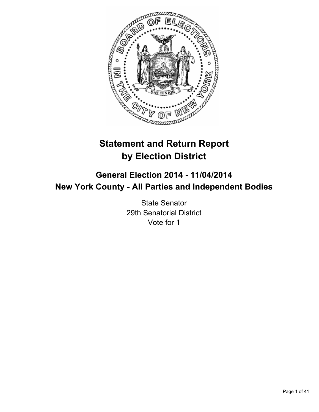

# **Statement and Return Report by Election District**

# **General Election 2014 - 11/04/2014 New York County - All Parties and Independent Bodies**

State Senator 29th Senatorial District Vote for 1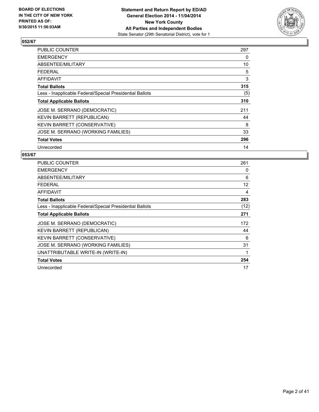

| PUBLIC COUNTER                                           | 297 |
|----------------------------------------------------------|-----|
| <b>EMERGENCY</b>                                         | 0   |
| ABSENTEE/MILITARY                                        | 10  |
| <b>FEDERAL</b>                                           | 5   |
| AFFIDAVIT                                                | 3   |
| <b>Total Ballots</b>                                     | 315 |
| Less - Inapplicable Federal/Special Presidential Ballots | (5) |
| <b>Total Applicable Ballots</b>                          | 310 |
| JOSE M. SERRANO (DEMOCRATIC)                             | 211 |
| KEVIN BARRETT (REPUBLICAN)                               | 44  |
| <b>KEVIN BARRETT (CONSERVATIVE)</b>                      | 8   |
| JOSE M. SERRANO (WORKING FAMILIES)                       | 33  |
| <b>Total Votes</b>                                       | 296 |
| Unrecorded                                               | 14  |

| <b>PUBLIC COUNTER</b>                                    | 261  |
|----------------------------------------------------------|------|
| EMERGENCY                                                | 0    |
| ABSENTEE/MILITARY                                        | 6    |
| FEDERAL                                                  | 12   |
| AFFIDAVIT                                                | 4    |
| <b>Total Ballots</b>                                     | 283  |
| Less - Inapplicable Federal/Special Presidential Ballots | (12) |
| <b>Total Applicable Ballots</b>                          | 271  |
| JOSE M. SERRANO (DEMOCRATIC)                             | 172  |
| <b>KEVIN BARRETT (REPUBLICAN)</b>                        | 44   |
| KEVIN BARRETT (CONSERVATIVE)                             | 6    |
| JOSE M. SERRANO (WORKING FAMILIES)                       | 31   |
| UNATTRIBUTABLE WRITE-IN (WRITE-IN)                       | 1    |
| <b>Total Votes</b>                                       | 254  |
| Unrecorded                                               | 17   |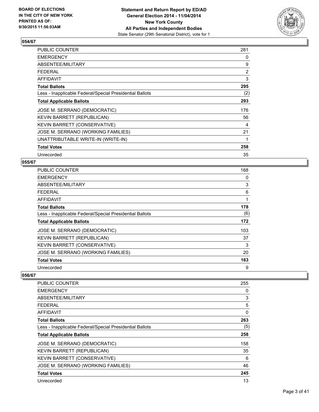

| PUBLIC COUNTER                                           | 281            |
|----------------------------------------------------------|----------------|
| <b>EMERGENCY</b>                                         | 0              |
| ABSENTEE/MILITARY                                        | 9              |
| <b>FEDERAL</b>                                           | $\overline{2}$ |
| AFFIDAVIT                                                | 3              |
| <b>Total Ballots</b>                                     | 295            |
| Less - Inapplicable Federal/Special Presidential Ballots | (2)            |
| <b>Total Applicable Ballots</b>                          | 293            |
| JOSE M. SERRANO (DEMOCRATIC)                             | 176            |
| KEVIN BARRETT (REPUBLICAN)                               | 56             |
| KEVIN BARRETT (CONSERVATIVE)                             | 4              |
| JOSE M. SERRANO (WORKING FAMILIES)                       | 21             |
| UNATTRIBUTABLE WRITE-IN (WRITE-IN)                       | 1              |
| <b>Total Votes</b>                                       | 258            |
| Unrecorded                                               | 35             |

#### **055/67**

| <b>PUBLIC COUNTER</b>                                    | 168 |
|----------------------------------------------------------|-----|
| <b>EMERGENCY</b>                                         | 0   |
| ABSENTEE/MILITARY                                        | 3   |
| <b>FEDERAL</b>                                           | 6   |
| AFFIDAVIT                                                | 1   |
| <b>Total Ballots</b>                                     | 178 |
| Less - Inapplicable Federal/Special Presidential Ballots | (6) |
| <b>Total Applicable Ballots</b>                          | 172 |
| JOSE M. SERRANO (DEMOCRATIC)                             | 103 |
| KEVIN BARRETT (REPUBLICAN)                               | 37  |
| KEVIN BARRETT (CONSERVATIVE)                             | 3   |
| JOSE M. SERRANO (WORKING FAMILIES)                       | 20  |
| <b>Total Votes</b>                                       | 163 |
| Unrecorded                                               | 9   |

| <b>PUBLIC COUNTER</b>                                    | 255 |
|----------------------------------------------------------|-----|
| <b>EMERGENCY</b>                                         | 0   |
| ABSENTEE/MILITARY                                        | 3   |
| <b>FEDERAL</b>                                           | 5   |
| AFFIDAVIT                                                | 0   |
| <b>Total Ballots</b>                                     | 263 |
| Less - Inapplicable Federal/Special Presidential Ballots | (5) |
| <b>Total Applicable Ballots</b>                          | 258 |
| JOSE M. SERRANO (DEMOCRATIC)                             | 158 |
| KEVIN BARRETT (REPUBLICAN)                               | 35  |
| KEVIN BARRETT (CONSERVATIVE)                             | 6   |
| JOSE M. SERRANO (WORKING FAMILIES)                       | 46  |
| <b>Total Votes</b>                                       | 245 |
| Unrecorded                                               | 13  |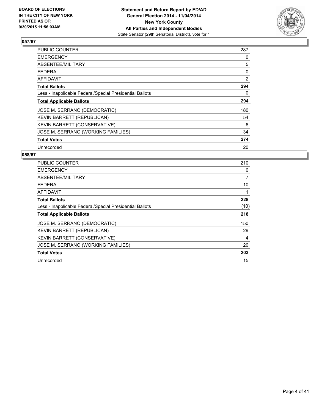

| <b>PUBLIC COUNTER</b>                                    | 287 |
|----------------------------------------------------------|-----|
| <b>EMERGENCY</b>                                         | 0   |
| ABSENTEE/MILITARY                                        | 5   |
| <b>FEDERAL</b>                                           | 0   |
| AFFIDAVIT                                                | 2   |
| <b>Total Ballots</b>                                     | 294 |
| Less - Inapplicable Federal/Special Presidential Ballots | 0   |
| <b>Total Applicable Ballots</b>                          | 294 |
| JOSE M. SERRANO (DEMOCRATIC)                             | 180 |
| KEVIN BARRETT (REPUBLICAN)                               | 54  |
| <b>KEVIN BARRETT (CONSERVATIVE)</b>                      | 6   |
| JOSE M. SERRANO (WORKING FAMILIES)                       | 34  |
| <b>Total Votes</b>                                       | 274 |
| Unrecorded                                               | 20  |

| <b>PUBLIC COUNTER</b>                                    | 210            |
|----------------------------------------------------------|----------------|
| <b>EMERGENCY</b>                                         | 0              |
| ABSENTEE/MILITARY                                        | $\overline{7}$ |
| FEDERAL                                                  | 10             |
| <b>AFFIDAVIT</b>                                         |                |
| <b>Total Ballots</b>                                     | 228            |
| Less - Inapplicable Federal/Special Presidential Ballots | (10)           |
| <b>Total Applicable Ballots</b>                          | 218            |
| JOSE M. SERRANO (DEMOCRATIC)                             | 150            |
| <b>KEVIN BARRETT (REPUBLICAN)</b>                        | 29             |
| KEVIN BARRETT (CONSERVATIVE)                             | 4              |
| JOSE M. SERRANO (WORKING FAMILIES)                       | 20             |
| <b>Total Votes</b>                                       | 203            |
| Unrecorded                                               | 15             |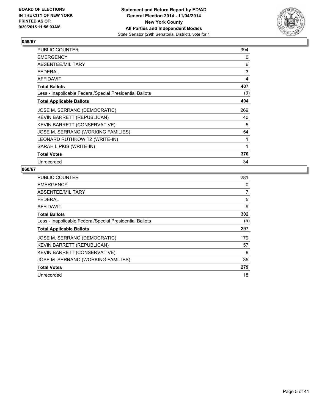

| PUBLIC COUNTER                                           | 394 |
|----------------------------------------------------------|-----|
| <b>EMERGENCY</b>                                         | 0   |
| ABSENTEE/MILITARY                                        | 6   |
| <b>FEDERAL</b>                                           | 3   |
| <b>AFFIDAVIT</b>                                         | 4   |
| <b>Total Ballots</b>                                     | 407 |
| Less - Inapplicable Federal/Special Presidential Ballots | (3) |
| <b>Total Applicable Ballots</b>                          | 404 |
| JOSE M. SERRANO (DEMOCRATIC)                             | 269 |
| KEVIN BARRETT (REPUBLICAN)                               | 40  |
| <b>KEVIN BARRETT (CONSERVATIVE)</b>                      | 5   |
| JOSE M. SERRANO (WORKING FAMILIES)                       | 54  |
| LEONARD RUTHKOWITZ (WRITE-IN)                            | 1   |
| SARAH LIPKIS (WRITE-IN)                                  | 1   |
| <b>Total Votes</b>                                       | 370 |
| Unrecorded                                               | 34  |

| <b>PUBLIC COUNTER</b>                                    | 281 |
|----------------------------------------------------------|-----|
| <b>EMERGENCY</b>                                         | 0   |
| ABSENTEE/MILITARY                                        | 7   |
| FEDERAL                                                  | 5   |
| AFFIDAVIT                                                | 9   |
| <b>Total Ballots</b>                                     | 302 |
| Less - Inapplicable Federal/Special Presidential Ballots | (5) |
| <b>Total Applicable Ballots</b>                          | 297 |
| JOSE M. SERRANO (DEMOCRATIC)                             | 179 |
| KEVIN BARRETT (REPUBLICAN)                               | 57  |
| KEVIN BARRETT (CONSERVATIVE)                             | 8   |
| JOSE M. SERRANO (WORKING FAMILIES)                       | 35  |
| <b>Total Votes</b>                                       | 279 |
| Unrecorded                                               | 18  |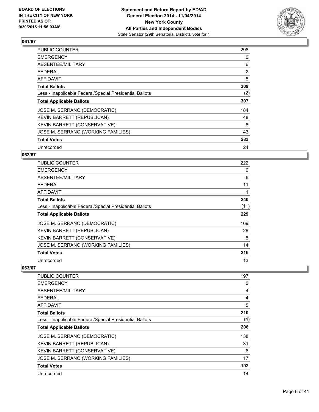

| PUBLIC COUNTER                                           | 296            |
|----------------------------------------------------------|----------------|
| <b>EMERGENCY</b>                                         | 0              |
| ABSENTEE/MILITARY                                        | 6              |
| <b>FEDERAL</b>                                           | $\overline{2}$ |
| <b>AFFIDAVIT</b>                                         | 5              |
| <b>Total Ballots</b>                                     | 309            |
| Less - Inapplicable Federal/Special Presidential Ballots | (2)            |
| <b>Total Applicable Ballots</b>                          | 307            |
| JOSE M. SERRANO (DEMOCRATIC)                             | 184            |
| KEVIN BARRETT (REPUBLICAN)                               | 48             |
| KEVIN BARRETT (CONSERVATIVE)                             | 8              |
| JOSE M. SERRANO (WORKING FAMILIES)                       | 43             |
| <b>Total Votes</b>                                       | 283            |
| Unrecorded                                               | 24             |

## **062/67**

| <b>PUBLIC COUNTER</b>                                    | 222  |
|----------------------------------------------------------|------|
| <b>EMERGENCY</b>                                         | 0    |
| ABSENTEE/MILITARY                                        | 6    |
| <b>FEDERAL</b>                                           | 11   |
| AFFIDAVIT                                                |      |
| <b>Total Ballots</b>                                     | 240  |
| Less - Inapplicable Federal/Special Presidential Ballots | (11) |
| <b>Total Applicable Ballots</b>                          | 229  |
| JOSE M. SERRANO (DEMOCRATIC)                             | 169  |
| KEVIN BARRETT (REPUBLICAN)                               | 28   |
| <b>KEVIN BARRETT (CONSERVATIVE)</b>                      | 5    |
| JOSE M. SERRANO (WORKING FAMILIES)                       | 14   |
| <b>Total Votes</b>                                       | 216  |
| Unrecorded                                               | 13   |

| PUBLIC COUNTER                                           | 197 |
|----------------------------------------------------------|-----|
| <b>EMERGENCY</b>                                         | 0   |
| ABSENTEE/MILITARY                                        | 4   |
| <b>FEDERAL</b>                                           | 4   |
| AFFIDAVIT                                                | 5   |
| Total Ballots                                            | 210 |
| Less - Inapplicable Federal/Special Presidential Ballots | (4) |
| <b>Total Applicable Ballots</b>                          | 206 |
| JOSE M. SERRANO (DEMOCRATIC)                             | 138 |
| KEVIN BARRETT (REPUBLICAN)                               | 31  |
| KEVIN BARRETT (CONSERVATIVE)                             | 6   |
| JOSE M. SERRANO (WORKING FAMILIES)                       | 17  |
| <b>Total Votes</b>                                       | 192 |
| Unrecorded                                               | 14  |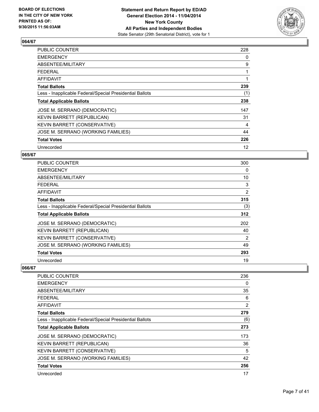

| <b>PUBLIC COUNTER</b>                                    | 228 |
|----------------------------------------------------------|-----|
| <b>EMERGENCY</b>                                         | 0   |
| ABSENTEE/MILITARY                                        | 9   |
| <b>FEDERAL</b>                                           |     |
| <b>AFFIDAVIT</b>                                         |     |
| <b>Total Ballots</b>                                     | 239 |
| Less - Inapplicable Federal/Special Presidential Ballots | (1) |
| <b>Total Applicable Ballots</b>                          | 238 |
| JOSE M. SERRANO (DEMOCRATIC)                             | 147 |
| KEVIN BARRETT (REPUBLICAN)                               | 31  |
| KEVIN BARRETT (CONSERVATIVE)                             | 4   |
| JOSE M. SERRANO (WORKING FAMILIES)                       | 44  |
| <b>Total Votes</b>                                       | 226 |
| Unrecorded                                               | 12  |

## **065/67**

| <b>PUBLIC COUNTER</b>                                    | 300 |
|----------------------------------------------------------|-----|
| <b>EMERGENCY</b>                                         | 0   |
| ABSENTEE/MILITARY                                        | 10  |
| FEDERAL                                                  | 3   |
| AFFIDAVIT                                                | 2   |
| <b>Total Ballots</b>                                     | 315 |
| Less - Inapplicable Federal/Special Presidential Ballots | (3) |
| <b>Total Applicable Ballots</b>                          | 312 |
| JOSE M. SERRANO (DEMOCRATIC)                             | 202 |
| KEVIN BARRETT (REPUBLICAN)                               | 40  |
| <b>KEVIN BARRETT (CONSERVATIVE)</b>                      | 2   |
| JOSE M. SERRANO (WORKING FAMILIES)                       | 49  |
| <b>Total Votes</b>                                       | 293 |
| Unrecorded                                               | 19  |

| <b>PUBLIC COUNTER</b>                                    | 236 |
|----------------------------------------------------------|-----|
| <b>EMERGENCY</b>                                         | 0   |
| ABSENTEE/MILITARY                                        | 35  |
| <b>FEDERAL</b>                                           | 6   |
| AFFIDAVIT                                                | 2   |
| <b>Total Ballots</b>                                     | 279 |
| Less - Inapplicable Federal/Special Presidential Ballots | (6) |
| <b>Total Applicable Ballots</b>                          | 273 |
| JOSE M. SERRANO (DEMOCRATIC)                             | 173 |
| KEVIN BARRETT (REPUBLICAN)                               | 36  |
| <b>KEVIN BARRETT (CONSERVATIVE)</b>                      | 5   |
| JOSE M. SERRANO (WORKING FAMILIES)                       | 42  |
| <b>Total Votes</b>                                       | 256 |
| Unrecorded                                               | 17  |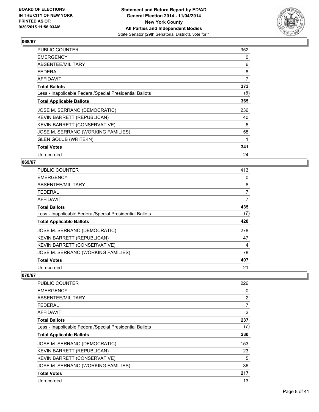

| <b>PUBLIC COUNTER</b>                                    | 352 |
|----------------------------------------------------------|-----|
| <b>EMERGENCY</b>                                         | 0   |
| ABSENTEE/MILITARY                                        | 6   |
| <b>FEDERAL</b>                                           | 8   |
| AFFIDAVIT                                                | 7   |
| <b>Total Ballots</b>                                     | 373 |
| Less - Inapplicable Federal/Special Presidential Ballots | (8) |
| <b>Total Applicable Ballots</b>                          | 365 |
| JOSE M. SERRANO (DEMOCRATIC)                             | 236 |
| <b>KEVIN BARRETT (REPUBLICAN)</b>                        | 40  |
| KEVIN BARRETT (CONSERVATIVE)                             | 6   |
| JOSE M. SERRANO (WORKING FAMILIES)                       | 58  |
| <b>GLEN GOLUB (WRITE-IN)</b>                             | 1   |
| <b>Total Votes</b>                                       | 341 |
| Unrecorded                                               | 24  |

## **069/67**

| <b>PUBLIC COUNTER</b>                                    | 413 |
|----------------------------------------------------------|-----|
| <b>EMERGENCY</b>                                         | 0   |
| ABSENTEE/MILITARY                                        | 8   |
| <b>FEDERAL</b>                                           | 7   |
| AFFIDAVIT                                                | 7   |
| <b>Total Ballots</b>                                     | 435 |
| Less - Inapplicable Federal/Special Presidential Ballots | (7) |
| <b>Total Applicable Ballots</b>                          | 428 |
| JOSE M. SERRANO (DEMOCRATIC)                             | 278 |
| KEVIN BARRETT (REPUBLICAN)                               | 47  |
| KEVIN BARRETT (CONSERVATIVE)                             | 4   |
| JOSE M. SERRANO (WORKING FAMILIES)                       | 78  |
| <b>Total Votes</b>                                       | 407 |
| Unrecorded                                               | 21  |

| <b>PUBLIC COUNTER</b>                                    | 226            |
|----------------------------------------------------------|----------------|
| <b>EMERGENCY</b>                                         | 0              |
| ABSENTEE/MILITARY                                        | $\overline{2}$ |
| <b>FEDERAL</b>                                           | 7              |
| AFFIDAVIT                                                | 2              |
| <b>Total Ballots</b>                                     | 237            |
| Less - Inapplicable Federal/Special Presidential Ballots | (7)            |
| <b>Total Applicable Ballots</b>                          | 230            |
| JOSE M. SERRANO (DEMOCRATIC)                             | 153            |
| KEVIN BARRETT (REPUBLICAN)                               | 23             |
| KEVIN BARRETT (CONSERVATIVE)                             | 5              |
| JOSE M. SERRANO (WORKING FAMILIES)                       | 36             |
| <b>Total Votes</b>                                       | 217            |
| Unrecorded                                               | 13             |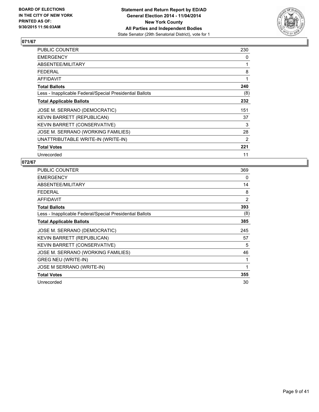

| <b>PUBLIC COUNTER</b>                                    | 230 |
|----------------------------------------------------------|-----|
| <b>EMERGENCY</b>                                         | 0   |
| ABSENTEE/MILITARY                                        |     |
| <b>FEDERAL</b>                                           | 8   |
| AFFIDAVIT                                                | 1   |
| <b>Total Ballots</b>                                     | 240 |
| Less - Inapplicable Federal/Special Presidential Ballots | (8) |
| <b>Total Applicable Ballots</b>                          | 232 |
| JOSE M. SERRANO (DEMOCRATIC)                             | 151 |
| KEVIN BARRETT (REPUBLICAN)                               | 37  |
| KEVIN BARRETT (CONSERVATIVE)                             | 3   |
| JOSE M. SERRANO (WORKING FAMILIES)                       | 28  |
| UNATTRIBUTABLE WRITE-IN (WRITE-IN)                       | 2   |
| <b>Total Votes</b>                                       | 221 |
| Unrecorded                                               | 11  |

| <b>PUBLIC COUNTER</b>                                    | 369 |
|----------------------------------------------------------|-----|
| <b>EMERGENCY</b>                                         | 0   |
| ABSENTEE/MILITARY                                        | 14  |
| <b>FEDERAL</b>                                           | 8   |
| <b>AFFIDAVIT</b>                                         | 2   |
| <b>Total Ballots</b>                                     | 393 |
| Less - Inapplicable Federal/Special Presidential Ballots | (8) |
| <b>Total Applicable Ballots</b>                          | 385 |
| JOSE M. SERRANO (DEMOCRATIC)                             | 245 |
| KEVIN BARRETT (REPUBLICAN)                               | 57  |
| KEVIN BARRETT (CONSERVATIVE)                             | 5   |
| JOSE M. SERRANO (WORKING FAMILIES)                       | 46  |
| <b>GREG NEU (WRITE-IN)</b>                               | 1   |
| JOSE M SERRANO (WRITE-IN)                                | 1   |
| <b>Total Votes</b>                                       | 355 |
| Unrecorded                                               | 30  |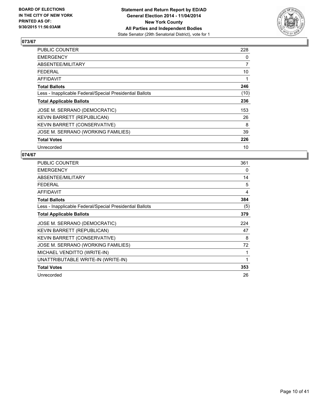

| <b>PUBLIC COUNTER</b>                                    | 228            |
|----------------------------------------------------------|----------------|
| <b>EMERGENCY</b>                                         | 0              |
| ABSENTEE/MILITARY                                        | $\overline{7}$ |
| <b>FEDERAL</b>                                           | 10             |
| <b>AFFIDAVIT</b>                                         | 1              |
| <b>Total Ballots</b>                                     | 246            |
| Less - Inapplicable Federal/Special Presidential Ballots | (10)           |
| <b>Total Applicable Ballots</b>                          | 236            |
| JOSE M. SERRANO (DEMOCRATIC)                             | 153            |
| KEVIN BARRETT (REPUBLICAN)                               | 26             |
| KEVIN BARRETT (CONSERVATIVE)                             | 8              |
| JOSE M. SERRANO (WORKING FAMILIES)                       | 39             |
| <b>Total Votes</b>                                       | 226            |
| Unrecorded                                               | 10             |

| <b>PUBLIC COUNTER</b>                                    | 361 |
|----------------------------------------------------------|-----|
| <b>EMERGENCY</b>                                         | 0   |
| <b>ABSENTEE/MILITARY</b>                                 | 14  |
| <b>FEDERAL</b>                                           | 5   |
| <b>AFFIDAVIT</b>                                         | 4   |
| <b>Total Ballots</b>                                     | 384 |
| Less - Inapplicable Federal/Special Presidential Ballots | (5) |
| <b>Total Applicable Ballots</b>                          | 379 |
| JOSE M. SERRANO (DEMOCRATIC)                             | 224 |
| <b>KEVIN BARRETT (REPUBLICAN)</b>                        | 47  |
| KEVIN BARRETT (CONSERVATIVE)                             | 8   |
| JOSE M. SERRANO (WORKING FAMILIES)                       | 72  |
| MICHAEL VENDITTO (WRITE-IN)                              | 1   |
| UNATTRIBUTABLE WRITE-IN (WRITE-IN)                       | 1   |
| <b>Total Votes</b>                                       | 353 |
|                                                          |     |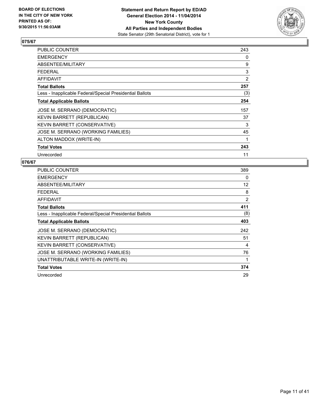

| PUBLIC COUNTER                                           | 243            |
|----------------------------------------------------------|----------------|
| <b>EMERGENCY</b>                                         | 0              |
| ABSENTEE/MILITARY                                        | 9              |
| FEDERAL                                                  | 3              |
| AFFIDAVIT                                                | $\overline{2}$ |
| <b>Total Ballots</b>                                     | 257            |
| Less - Inapplicable Federal/Special Presidential Ballots | (3)            |
| <b>Total Applicable Ballots</b>                          | 254            |
| JOSE M. SERRANO (DEMOCRATIC)                             | 157            |
| KEVIN BARRETT (REPUBLICAN)                               | 37             |
| KEVIN BARRETT (CONSERVATIVE)                             | 3              |
| JOSE M. SERRANO (WORKING FAMILIES)                       | 45             |
| ALTON MADDOX (WRITE-IN)                                  | 1              |
| <b>Total Votes</b>                                       | 243            |
| Unrecorded                                               | 11             |

| <b>PUBLIC COUNTER</b>                                    | 389 |
|----------------------------------------------------------|-----|
| <b>EMERGENCY</b>                                         | 0   |
| ABSENTEE/MILITARY                                        | 12  |
| <b>FEDERAL</b>                                           | 8   |
| AFFIDAVIT                                                | 2   |
| <b>Total Ballots</b>                                     | 411 |
| Less - Inapplicable Federal/Special Presidential Ballots | (8) |
| <b>Total Applicable Ballots</b>                          | 403 |
| JOSE M. SERRANO (DEMOCRATIC)                             | 242 |
| KEVIN BARRETT (REPUBLICAN)                               | 51  |
| KEVIN BARRETT (CONSERVATIVE)                             | 4   |
| JOSE M. SERRANO (WORKING FAMILIES)                       | 76  |
| UNATTRIBUTABLE WRITE-IN (WRITE-IN)                       | 1   |
| <b>Total Votes</b>                                       | 374 |
| Unrecorded                                               | 29  |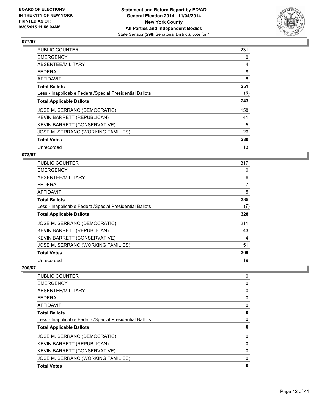

| <b>PUBLIC COUNTER</b>                                    | 231 |
|----------------------------------------------------------|-----|
| <b>EMERGENCY</b>                                         | 0   |
| ABSENTEE/MILITARY                                        | 4   |
| FEDERAL                                                  | 8   |
| <b>AFFIDAVIT</b>                                         | 8   |
| <b>Total Ballots</b>                                     | 251 |
| Less - Inapplicable Federal/Special Presidential Ballots | (8) |
| <b>Total Applicable Ballots</b>                          | 243 |
| JOSE M. SERRANO (DEMOCRATIC)                             | 158 |
| KEVIN BARRETT (REPUBLICAN)                               | 41  |
| KEVIN BARRETT (CONSERVATIVE)                             | 5   |
| JOSE M. SERRANO (WORKING FAMILIES)                       | 26  |
| <b>Total Votes</b>                                       | 230 |
| Unrecorded                                               | 13  |

## **078/67**

| PUBLIC COUNTER                                           | 317 |
|----------------------------------------------------------|-----|
| <b>EMERGENCY</b>                                         | 0   |
| ABSENTEE/MILITARY                                        | 6   |
| FEDERAL                                                  | 7   |
| AFFIDAVIT                                                | 5   |
| <b>Total Ballots</b>                                     | 335 |
| Less - Inapplicable Federal/Special Presidential Ballots | (7) |
| <b>Total Applicable Ballots</b>                          | 328 |
| JOSE M. SERRANO (DEMOCRATIC)                             | 211 |
| KEVIN BARRETT (REPUBLICAN)                               | 43  |
| <b>KEVIN BARRETT (CONSERVATIVE)</b>                      | 4   |
| JOSE M. SERRANO (WORKING FAMILIES)                       | 51  |
| <b>Total Votes</b>                                       | 309 |
| Unrecorded                                               | 19  |

| PUBLIC COUNTER                                           | 0 |
|----------------------------------------------------------|---|
| <b>EMERGENCY</b>                                         | 0 |
| <b>ABSENTEE/MILITARY</b>                                 | 0 |
| FEDERAL                                                  | 0 |
| <b>AFFIDAVIT</b>                                         | 0 |
| <b>Total Ballots</b>                                     | 0 |
| Less - Inapplicable Federal/Special Presidential Ballots | 0 |
| <b>Total Applicable Ballots</b>                          | 0 |
| JOSE M. SERRANO (DEMOCRATIC)                             | 0 |
| KEVIN BARRETT (REPUBLICAN)                               | 0 |
| KEVIN BARRETT (CONSERVATIVE)                             | 0 |
| JOSE M. SERRANO (WORKING FAMILIES)                       | 0 |
| <b>Total Votes</b>                                       | 0 |
|                                                          |   |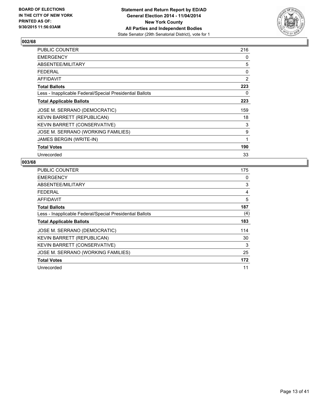

| <b>PUBLIC COUNTER</b>                                    | 216 |
|----------------------------------------------------------|-----|
| <b>EMERGENCY</b>                                         | 0   |
| ABSENTEE/MILITARY                                        | 5   |
| <b>FEDERAL</b>                                           | 0   |
| <b>AFFIDAVIT</b>                                         | 2   |
| <b>Total Ballots</b>                                     | 223 |
| Less - Inapplicable Federal/Special Presidential Ballots | 0   |
| <b>Total Applicable Ballots</b>                          | 223 |
| JOSE M. SERRANO (DEMOCRATIC)                             | 159 |
| <b>KEVIN BARRETT (REPUBLICAN)</b>                        | 18  |
| KEVIN BARRETT (CONSERVATIVE)                             | 3   |
| JOSE M. SERRANO (WORKING FAMILIES)                       | 9   |
| <b>JAMES BERGIN (WRITE-IN)</b>                           | 1   |
| <b>Total Votes</b>                                       | 190 |
| Unrecorded                                               | 33  |

| <b>PUBLIC COUNTER</b>                                    | 175 |
|----------------------------------------------------------|-----|
| <b>EMERGENCY</b>                                         | 0   |
| ABSENTEE/MILITARY                                        | 3   |
| <b>FEDERAL</b>                                           | 4   |
| AFFIDAVIT                                                | 5   |
| <b>Total Ballots</b>                                     | 187 |
| Less - Inapplicable Federal/Special Presidential Ballots | (4) |
| <b>Total Applicable Ballots</b>                          | 183 |
| JOSE M. SERRANO (DEMOCRATIC)                             | 114 |
| KEVIN BARRETT (REPUBLICAN)                               | 30  |
| KEVIN BARRETT (CONSERVATIVE)                             | 3   |
| JOSE M. SERRANO (WORKING FAMILIES)                       | 25  |
| <b>Total Votes</b>                                       | 172 |
| Unrecorded                                               | 11  |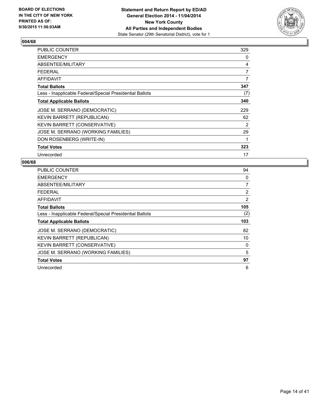

| <b>PUBLIC COUNTER</b>                                    | 329            |
|----------------------------------------------------------|----------------|
| <b>EMERGENCY</b>                                         | 0              |
| ABSENTEE/MILITARY                                        | 4              |
| <b>FEDERAL</b>                                           | $\overline{7}$ |
| AFFIDAVIT                                                | 7              |
| <b>Total Ballots</b>                                     | 347            |
| Less - Inapplicable Federal/Special Presidential Ballots | (7)            |
| <b>Total Applicable Ballots</b>                          | 340            |
| JOSE M. SERRANO (DEMOCRATIC)                             | 229            |
| KEVIN BARRETT (REPUBLICAN)                               | 62             |
| KEVIN BARRETT (CONSERVATIVE)                             | 2              |
| JOSE M. SERRANO (WORKING FAMILIES)                       | 29             |
| DON ROSENBERG (WRITE-IN)                                 | 1              |
| <b>Total Votes</b>                                       | 323            |
| Unrecorded                                               | 17             |

| <b>PUBLIC COUNTER</b>                                    | 94             |
|----------------------------------------------------------|----------------|
| EMERGENCY                                                | 0              |
| ABSENTEE/MILITARY                                        | $\overline{7}$ |
| FEDERAL                                                  | $\overline{2}$ |
| <b>AFFIDAVIT</b>                                         | $\overline{2}$ |
| <b>Total Ballots</b>                                     | 105            |
| Less - Inapplicable Federal/Special Presidential Ballots | (2)            |
|                                                          |                |
| <b>Total Applicable Ballots</b>                          | 103            |
| JOSE M. SERRANO (DEMOCRATIC)                             | 82             |
| KEVIN BARRETT (REPUBLICAN)                               | 10             |
| KEVIN BARRETT (CONSERVATIVE)                             | 0              |
| JOSE M. SERRANO (WORKING FAMILIES)                       | 5              |
| <b>Total Votes</b>                                       | 97             |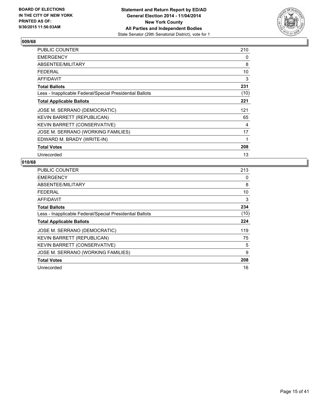

| <b>PUBLIC COUNTER</b>                                    | 210  |
|----------------------------------------------------------|------|
| <b>EMERGENCY</b>                                         | 0    |
| ABSENTEE/MILITARY                                        | 8    |
| <b>FEDERAL</b>                                           | 10   |
| <b>AFFIDAVIT</b>                                         | 3    |
| <b>Total Ballots</b>                                     | 231  |
| Less - Inapplicable Federal/Special Presidential Ballots | (10) |
| <b>Total Applicable Ballots</b>                          | 221  |
| JOSE M. SERRANO (DEMOCRATIC)                             | 121  |
| KEVIN BARRETT (REPUBLICAN)                               | 65   |
| KEVIN BARRETT (CONSERVATIVE)                             | 4    |
| JOSE M. SERRANO (WORKING FAMILIES)                       | 17   |
| EDWARD M. BRADY (WRITE-IN)                               | 1    |
| <b>Total Votes</b>                                       | 208  |
| Unrecorded                                               | 13   |

| <b>PUBLIC COUNTER</b>                                    | 213  |
|----------------------------------------------------------|------|
| <b>EMERGENCY</b>                                         | 0    |
| ABSENTEE/MILITARY                                        | 8    |
| <b>FEDERAL</b>                                           | 10   |
| AFFIDAVIT                                                | 3    |
| <b>Total Ballots</b>                                     | 234  |
| Less - Inapplicable Federal/Special Presidential Ballots | (10) |
| <b>Total Applicable Ballots</b>                          | 224  |
| JOSE M. SERRANO (DEMOCRATIC)                             | 119  |
| KEVIN BARRETT (REPUBLICAN)                               | 75   |
| KEVIN BARRETT (CONSERVATIVE)                             | 5    |
| JOSE M. SERRANO (WORKING FAMILIES)                       | 9    |
| <b>Total Votes</b>                                       | 208  |
| Unrecorded                                               | 16   |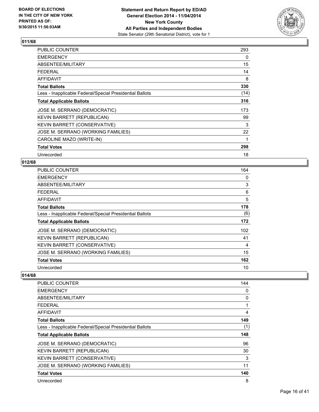

| PUBLIC COUNTER                                           | 293  |
|----------------------------------------------------------|------|
| <b>EMERGENCY</b>                                         | 0    |
| ABSENTEE/MILITARY                                        | 15   |
| <b>FEDERAL</b>                                           | 14   |
| <b>AFFIDAVIT</b>                                         | 8    |
| <b>Total Ballots</b>                                     | 330  |
| Less - Inapplicable Federal/Special Presidential Ballots | (14) |
| <b>Total Applicable Ballots</b>                          | 316  |
| JOSE M. SERRANO (DEMOCRATIC)                             | 173  |
| KEVIN BARRETT (REPUBLICAN)                               | 99   |
| KEVIN BARRETT (CONSERVATIVE)                             | 3    |
| JOSE M. SERRANO (WORKING FAMILIES)                       | 22   |
| CAROLINE MAZO (WRITE-IN)                                 | 1    |
| <b>Total Votes</b>                                       | 298  |
| Unrecorded                                               | 18   |

## **012/68**

| <b>PUBLIC COUNTER</b>                                    | 164 |
|----------------------------------------------------------|-----|
| <b>EMERGENCY</b>                                         | 0   |
| ABSENTEE/MILITARY                                        | 3   |
| <b>FEDERAL</b>                                           | 6   |
| AFFIDAVIT                                                | 5   |
| <b>Total Ballots</b>                                     | 178 |
| Less - Inapplicable Federal/Special Presidential Ballots | (6) |
| <b>Total Applicable Ballots</b>                          | 172 |
| JOSE M. SERRANO (DEMOCRATIC)                             | 102 |
| KEVIN BARRETT (REPUBLICAN)                               | 41  |
| KEVIN BARRETT (CONSERVATIVE)                             | 4   |
| JOSE M. SERRANO (WORKING FAMILIES)                       | 15  |
| <b>Total Votes</b>                                       | 162 |
| Unrecorded                                               | 10  |

| PUBLIC COUNTER                                           | 144 |
|----------------------------------------------------------|-----|
| <b>EMERGENCY</b>                                         | 0   |
| ABSENTEE/MILITARY                                        | 0   |
| <b>FEDERAL</b>                                           | 1   |
| AFFIDAVIT                                                | 4   |
| <b>Total Ballots</b>                                     | 149 |
| Less - Inapplicable Federal/Special Presidential Ballots | (1) |
| <b>Total Applicable Ballots</b>                          | 148 |
| JOSE M. SERRANO (DEMOCRATIC)                             | 96  |
| KEVIN BARRETT (REPUBLICAN)                               | 30  |
| KEVIN BARRETT (CONSERVATIVE)                             | 3   |
| JOSE M. SERRANO (WORKING FAMILIES)                       | 11  |
| <b>Total Votes</b>                                       | 140 |
| Unrecorded                                               | 8   |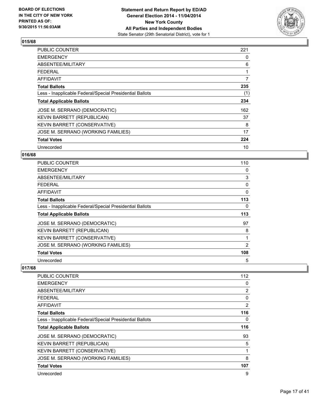

| <b>PUBLIC COUNTER</b>                                    | 221 |
|----------------------------------------------------------|-----|
| <b>EMERGENCY</b>                                         | 0   |
| ABSENTEE/MILITARY                                        | 6   |
| <b>FEDERAL</b>                                           |     |
| <b>AFFIDAVIT</b>                                         | 7   |
| <b>Total Ballots</b>                                     | 235 |
| Less - Inapplicable Federal/Special Presidential Ballots | (1) |
| <b>Total Applicable Ballots</b>                          | 234 |
| JOSE M. SERRANO (DEMOCRATIC)                             | 162 |
| KEVIN BARRETT (REPUBLICAN)                               | 37  |
| <b>KEVIN BARRETT (CONSERVATIVE)</b>                      | 8   |
| JOSE M. SERRANO (WORKING FAMILIES)                       | 17  |
| <b>Total Votes</b>                                       | 224 |
| Unrecorded                                               | 10  |

## **016/68**

| <b>PUBLIC COUNTER</b>                                    | 110 |
|----------------------------------------------------------|-----|
| <b>EMERGENCY</b>                                         | 0   |
| ABSENTEE/MILITARY                                        | 3   |
| <b>FEDERAL</b>                                           | 0   |
| AFFIDAVIT                                                | 0   |
| <b>Total Ballots</b>                                     | 113 |
| Less - Inapplicable Federal/Special Presidential Ballots | 0   |
| <b>Total Applicable Ballots</b>                          | 113 |
| JOSE M. SERRANO (DEMOCRATIC)                             | 97  |
| KEVIN BARRETT (REPUBLICAN)                               | 8   |
| KEVIN BARRETT (CONSERVATIVE)                             |     |
| JOSE M. SERRANO (WORKING FAMILIES)                       | 2   |
| <b>Total Votes</b>                                       | 108 |
| Unrecorded                                               | 5   |

| PUBLIC COUNTER                                           | 112 |
|----------------------------------------------------------|-----|
| <b>EMERGENCY</b>                                         | 0   |
| ABSENTEE/MILITARY                                        | 2   |
| <b>FEDERAL</b>                                           | 0   |
| AFFIDAVIT                                                | 2   |
| <b>Total Ballots</b>                                     | 116 |
| Less - Inapplicable Federal/Special Presidential Ballots | 0   |
| <b>Total Applicable Ballots</b>                          | 116 |
| JOSE M. SERRANO (DEMOCRATIC)                             | 93  |
| KEVIN BARRETT (REPUBLICAN)                               | 5   |
| KEVIN BARRETT (CONSERVATIVE)                             |     |
| JOSE M. SERRANO (WORKING FAMILIES)                       | 8   |
| <b>Total Votes</b>                                       | 107 |
| Unrecorded                                               | 9   |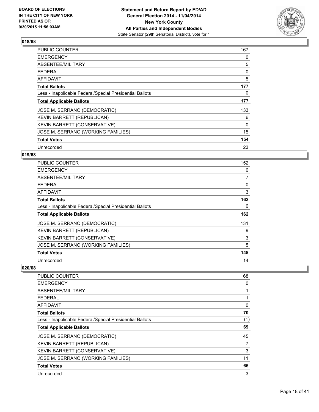

| <b>PUBLIC COUNTER</b>                                    | 167 |
|----------------------------------------------------------|-----|
| <b>EMERGENCY</b>                                         | 0   |
| ABSENTEE/MILITARY                                        | 5   |
| <b>FEDERAL</b>                                           | 0   |
| <b>AFFIDAVIT</b>                                         | 5   |
| <b>Total Ballots</b>                                     | 177 |
| Less - Inapplicable Federal/Special Presidential Ballots | 0   |
| <b>Total Applicable Ballots</b>                          | 177 |
| JOSE M. SERRANO (DEMOCRATIC)                             | 133 |
| KEVIN BARRETT (REPUBLICAN)                               | 6   |
| KEVIN BARRETT (CONSERVATIVE)                             | 0   |
| JOSE M. SERRANO (WORKING FAMILIES)                       | 15  |
| <b>Total Votes</b>                                       | 154 |
| Unrecorded                                               | 23  |

## **019/68**

| PUBLIC COUNTER                                           | 152 |
|----------------------------------------------------------|-----|
| <b>EMERGENCY</b>                                         | 0   |
| ABSENTEE/MILITARY                                        | 7   |
| <b>FEDERAL</b>                                           | 0   |
| AFFIDAVIT                                                | 3   |
| <b>Total Ballots</b>                                     | 162 |
| Less - Inapplicable Federal/Special Presidential Ballots | 0   |
| <b>Total Applicable Ballots</b>                          | 162 |
| JOSE M. SERRANO (DEMOCRATIC)                             | 131 |
| KEVIN BARRETT (REPUBLICAN)                               | 9   |
| <b>KEVIN BARRETT (CONSERVATIVE)</b>                      | 3   |
| JOSE M. SERRANO (WORKING FAMILIES)                       | 5   |
| <b>Total Votes</b>                                       | 148 |
| Unrecorded                                               | 14  |

| 68  |
|-----|
| 0   |
|     |
|     |
| 0   |
| 70  |
| (1) |
| 69  |
| 45  |
| 7   |
| 3   |
| 11  |
| 66  |
| 3   |
|     |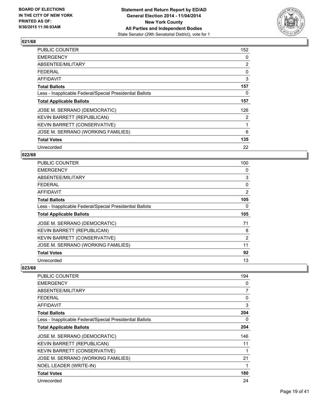

| <b>PUBLIC COUNTER</b>                                    | 152            |
|----------------------------------------------------------|----------------|
| <b>EMERGENCY</b>                                         | 0              |
| ABSENTEE/MILITARY                                        | $\overline{2}$ |
| <b>FEDERAL</b>                                           | 0              |
| <b>AFFIDAVIT</b>                                         | 3              |
| <b>Total Ballots</b>                                     | 157            |
| Less - Inapplicable Federal/Special Presidential Ballots | 0              |
| <b>Total Applicable Ballots</b>                          | 157            |
| JOSE M. SERRANO (DEMOCRATIC)                             | 126            |
| KEVIN BARRETT (REPUBLICAN)                               | $\overline{2}$ |
| KEVIN BARRETT (CONSERVATIVE)                             | 1              |
| JOSE M. SERRANO (WORKING FAMILIES)                       | 6              |
| <b>Total Votes</b>                                       | 135            |
| Unrecorded                                               | 22             |

## **022/68**

| PUBLIC COUNTER                                           | 100 |
|----------------------------------------------------------|-----|
| <b>EMERGENCY</b>                                         | 0   |
| ABSENTEE/MILITARY                                        | 3   |
| <b>FEDERAL</b>                                           | 0   |
| AFFIDAVIT                                                | 2   |
| <b>Total Ballots</b>                                     | 105 |
| Less - Inapplicable Federal/Special Presidential Ballots | 0   |
| <b>Total Applicable Ballots</b>                          | 105 |
| JOSE M. SERRANO (DEMOCRATIC)                             | 71  |
| <b>KEVIN BARRETT (REPUBLICAN)</b>                        | 8   |
| <b>KEVIN BARRETT (CONSERVATIVE)</b>                      | 2   |
| JOSE M. SERRANO (WORKING FAMILIES)                       | 11  |
| <b>Total Votes</b>                                       | 92  |
| Unrecorded                                               | 13  |

| PUBLIC COUNTER                                           | 194 |
|----------------------------------------------------------|-----|
| <b>EMERGENCY</b>                                         | 0   |
| ABSENTEE/MILITARY                                        | 7   |
| <b>FEDERAL</b>                                           | 0   |
| <b>AFFIDAVIT</b>                                         | 3   |
| <b>Total Ballots</b>                                     | 204 |
| Less - Inapplicable Federal/Special Presidential Ballots | 0   |
| <b>Total Applicable Ballots</b>                          | 204 |
| JOSE M. SERRANO (DEMOCRATIC)                             | 146 |
| KEVIN BARRETT (REPUBLICAN)                               | 11  |
| KEVIN BARRETT (CONSERVATIVE)                             | 1   |
| JOSE M. SERRANO (WORKING FAMILIES)                       | 21  |
| NOEL LEADER (WRITE-IN)                                   | 1   |
| <b>Total Votes</b>                                       | 180 |
| Unrecorded                                               | 24  |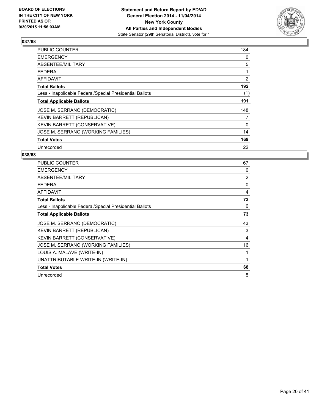

| <b>PUBLIC COUNTER</b>                                    | 184 |
|----------------------------------------------------------|-----|
| <b>EMERGENCY</b>                                         | 0   |
| ABSENTEE/MILITARY                                        | 5   |
| <b>FEDERAL</b>                                           | 1   |
| <b>AFFIDAVIT</b>                                         | 2   |
| <b>Total Ballots</b>                                     | 192 |
| Less - Inapplicable Federal/Special Presidential Ballots | (1) |
| <b>Total Applicable Ballots</b>                          | 191 |
| JOSE M. SERRANO (DEMOCRATIC)                             | 148 |
| KEVIN BARRETT (REPUBLICAN)                               | 7   |
| KEVIN BARRETT (CONSERVATIVE)                             | 0   |
| JOSE M. SERRANO (WORKING FAMILIES)                       | 14  |
| <b>Total Votes</b>                                       | 169 |
| Unrecorded                                               | 22  |

| <b>PUBLIC COUNTER</b>                                    | 67             |
|----------------------------------------------------------|----------------|
| <b>EMERGENCY</b>                                         | 0              |
| ABSENTEE/MILITARY                                        | $\overline{2}$ |
| <b>FEDERAL</b>                                           | 0              |
| <b>AFFIDAVIT</b>                                         | 4              |
| <b>Total Ballots</b>                                     | 73             |
| Less - Inapplicable Federal/Special Presidential Ballots | 0              |
| <b>Total Applicable Ballots</b>                          | 73             |
| JOSE M. SERRANO (DEMOCRATIC)                             | 43             |
| KEVIN BARRETT (REPUBLICAN)                               | 3              |
| KEVIN BARRETT (CONSERVATIVE)                             | 4              |
| JOSE M. SERRANO (WORKING FAMILIES)                       | 16             |
| LOUIS A. MALAVE (WRITE-IN)                               | 1              |
| UNATTRIBUTABLE WRITE-IN (WRITE-IN)                       | 1              |
| <b>Total Votes</b>                                       | 68             |
| Unrecorded                                               | 5              |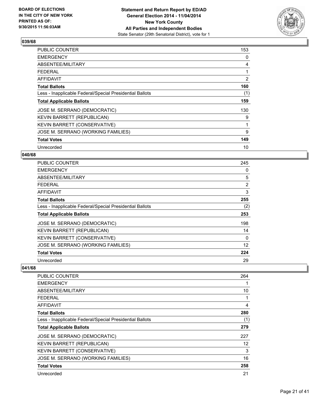

| <b>PUBLIC COUNTER</b>                                    | 153 |
|----------------------------------------------------------|-----|
| <b>EMERGENCY</b>                                         | 0   |
| ABSENTEE/MILITARY                                        | 4   |
| <b>FEDERAL</b>                                           |     |
| AFFIDAVIT                                                | 2   |
| <b>Total Ballots</b>                                     | 160 |
| Less - Inapplicable Federal/Special Presidential Ballots | (1) |
| <b>Total Applicable Ballots</b>                          | 159 |
| JOSE M. SERRANO (DEMOCRATIC)                             | 130 |
| KEVIN BARRETT (REPUBLICAN)                               | 9   |
| KEVIN BARRETT (CONSERVATIVE)                             | 1   |
| JOSE M. SERRANO (WORKING FAMILIES)                       | 9   |
| <b>Total Votes</b>                                       | 149 |
| Unrecorded                                               | 10  |

## **040/68**

| <b>PUBLIC COUNTER</b>                                    | 245            |
|----------------------------------------------------------|----------------|
| <b>EMERGENCY</b>                                         | 0              |
| ABSENTEE/MILITARY                                        | 5              |
| <b>FEDERAL</b>                                           | $\overline{2}$ |
| AFFIDAVIT                                                | 3              |
| <b>Total Ballots</b>                                     | 255            |
| Less - Inapplicable Federal/Special Presidential Ballots | (2)            |
| <b>Total Applicable Ballots</b>                          | 253            |
| JOSE M. SERRANO (DEMOCRATIC)                             | 198            |
| KEVIN BARRETT (REPUBLICAN)                               | 14             |
| KEVIN BARRETT (CONSERVATIVE)                             | 0              |
| JOSE M. SERRANO (WORKING FAMILIES)                       | 12             |
| <b>Total Votes</b>                                       | 224            |
| Unrecorded                                               | 29             |

| 264 |
|-----|
|     |
| 10  |
|     |
| 4   |
| 280 |
| (1) |
| 279 |
| 227 |
| 12  |
| 3   |
| 16  |
| 258 |
| 21  |
|     |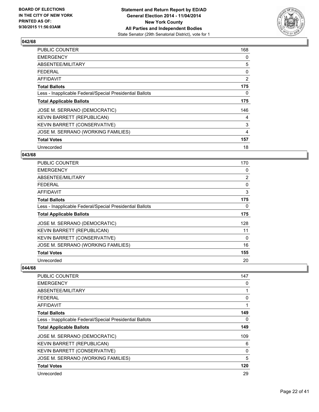

| <b>PUBLIC COUNTER</b>                                    | 168 |
|----------------------------------------------------------|-----|
| <b>EMERGENCY</b>                                         | 0   |
| ABSENTEE/MILITARY                                        | 5   |
| <b>FEDERAL</b>                                           | 0   |
| <b>AFFIDAVIT</b>                                         | 2   |
| <b>Total Ballots</b>                                     | 175 |
| Less - Inapplicable Federal/Special Presidential Ballots | 0   |
| <b>Total Applicable Ballots</b>                          | 175 |
| JOSE M. SERRANO (DEMOCRATIC)                             | 146 |
| KEVIN BARRETT (REPUBLICAN)                               | 4   |
| <b>KEVIN BARRETT (CONSERVATIVE)</b>                      | 3   |
| JOSE M. SERRANO (WORKING FAMILIES)                       | 4   |
| <b>Total Votes</b>                                       | 157 |
| Unrecorded                                               | 18  |

## **043/68**

| <b>PUBLIC COUNTER</b>                                    | 170            |
|----------------------------------------------------------|----------------|
| <b>EMERGENCY</b>                                         | 0              |
| ABSENTEE/MILITARY                                        | $\overline{2}$ |
| <b>FEDERAL</b>                                           | 0              |
| AFFIDAVIT                                                | 3              |
| <b>Total Ballots</b>                                     | 175            |
| Less - Inapplicable Federal/Special Presidential Ballots | 0              |
| <b>Total Applicable Ballots</b>                          | 175            |
| JOSE M. SERRANO (DEMOCRATIC)                             | 128            |
| KEVIN BARRETT (REPUBLICAN)                               | 11             |
| KEVIN BARRETT (CONSERVATIVE)                             | 0              |
| JOSE M. SERRANO (WORKING FAMILIES)                       | 16             |
| <b>Total Votes</b>                                       | 155            |
| Unrecorded                                               | 20             |

| PUBLIC COUNTER                                           | 147          |
|----------------------------------------------------------|--------------|
| <b>EMERGENCY</b>                                         | 0            |
| ABSENTEE/MILITARY                                        | $\mathbf{1}$ |
| <b>FEDERAL</b>                                           | 0            |
| AFFIDAVIT                                                | 1            |
| <b>Total Ballots</b>                                     | 149          |
| Less - Inapplicable Federal/Special Presidential Ballots | 0            |
| <b>Total Applicable Ballots</b>                          | 149          |
| JOSE M. SERRANO (DEMOCRATIC)                             | 109          |
| <b>KEVIN BARRETT (REPUBLICAN)</b>                        | 6            |
| <b>KEVIN BARRETT (CONSERVATIVE)</b>                      | 0            |
| JOSE M. SERRANO (WORKING FAMILIES)                       | 5            |
| <b>Total Votes</b>                                       | 120          |
| Unrecorded                                               | 29           |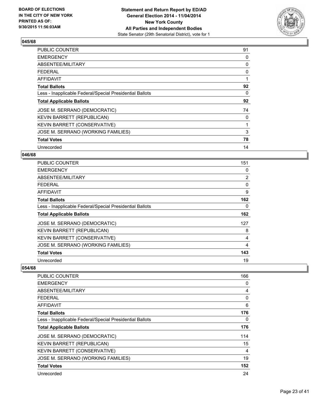

| <b>PUBLIC COUNTER</b>                                    | 91 |
|----------------------------------------------------------|----|
| <b>EMERGENCY</b>                                         | 0  |
| ABSENTEE/MILITARY                                        | 0  |
| <b>FEDERAL</b>                                           | 0  |
| <b>AFFIDAVIT</b>                                         | 1  |
| <b>Total Ballots</b>                                     | 92 |
| Less - Inapplicable Federal/Special Presidential Ballots | 0  |
| <b>Total Applicable Ballots</b>                          | 92 |
| JOSE M. SERRANO (DEMOCRATIC)                             | 74 |
| KEVIN BARRETT (REPUBLICAN)                               | 0  |
| KEVIN BARRETT (CONSERVATIVE)                             |    |
| JOSE M. SERRANO (WORKING FAMILIES)                       | 3  |
| <b>Total Votes</b>                                       | 78 |
| Unrecorded                                               | 14 |

## **046/68**

| <b>PUBLIC COUNTER</b>                                    | 151            |
|----------------------------------------------------------|----------------|
| <b>EMERGENCY</b>                                         | 0              |
| ABSENTEE/MILITARY                                        | $\overline{2}$ |
| <b>FEDERAL</b>                                           | 0              |
| <b>AFFIDAVIT</b>                                         | 9              |
| <b>Total Ballots</b>                                     | 162            |
| Less - Inapplicable Federal/Special Presidential Ballots | 0              |
| <b>Total Applicable Ballots</b>                          | 162            |
| JOSE M. SERRANO (DEMOCRATIC)                             | 127            |
| KEVIN BARRETT (REPUBLICAN)                               | 8              |
| KEVIN BARRETT (CONSERVATIVE)                             | 4              |
| JOSE M. SERRANO (WORKING FAMILIES)                       | 4              |
| <b>Total Votes</b>                                       | 143            |
| Unrecorded                                               | 19             |

| PUBLIC COUNTER                                           | 166 |
|----------------------------------------------------------|-----|
| <b>EMERGENCY</b>                                         | 0   |
| ABSENTEE/MILITARY                                        | 4   |
| <b>FEDERAL</b>                                           | 0   |
| AFFIDAVIT                                                | 6   |
| <b>Total Ballots</b>                                     | 176 |
| Less - Inapplicable Federal/Special Presidential Ballots | 0   |
| <b>Total Applicable Ballots</b>                          | 176 |
| JOSE M. SERRANO (DEMOCRATIC)                             | 114 |
| KEVIN BARRETT (REPUBLICAN)                               | 15  |
| KEVIN BARRETT (CONSERVATIVE)                             | 4   |
| JOSE M. SERRANO (WORKING FAMILIES)                       | 19  |
| <b>Total Votes</b>                                       | 152 |
| Unrecorded                                               | 24  |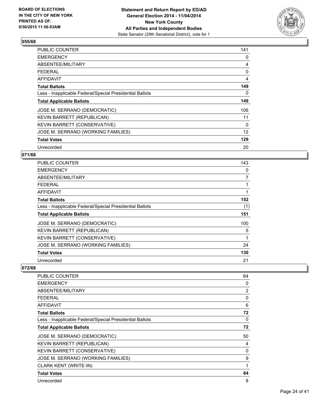

| <b>PUBLIC COUNTER</b>                                    | 141 |
|----------------------------------------------------------|-----|
| <b>EMERGENCY</b>                                         | 0   |
| ABSENTEE/MILITARY                                        | 4   |
| <b>FEDERAL</b>                                           | 0   |
| <b>AFFIDAVIT</b>                                         | 4   |
| <b>Total Ballots</b>                                     | 149 |
| Less - Inapplicable Federal/Special Presidential Ballots | 0   |
| <b>Total Applicable Ballots</b>                          | 149 |
| JOSE M. SERRANO (DEMOCRATIC)                             | 106 |
| <b>KEVIN BARRETT (REPUBLICAN)</b>                        | 11  |
| <b>KEVIN BARRETT (CONSERVATIVE)</b>                      | 0   |
| JOSE M. SERRANO (WORKING FAMILIES)                       | 12  |
| <b>Total Votes</b>                                       | 129 |
| Unrecorded                                               | 20  |

## **071/68**

| PUBLIC COUNTER                                           | 143 |
|----------------------------------------------------------|-----|
| <b>EMERGENCY</b>                                         | 0   |
| ABSENTEE/MILITARY                                        | 7   |
| <b>FEDERAL</b>                                           | 1   |
| AFFIDAVIT                                                |     |
| <b>Total Ballots</b>                                     | 152 |
| Less - Inapplicable Federal/Special Presidential Ballots | (1) |
| <b>Total Applicable Ballots</b>                          | 151 |
| JOSE M. SERRANO (DEMOCRATIC)                             | 100 |
| KEVIN BARRETT (REPUBLICAN)                               | 5   |
| <b>KEVIN BARRETT (CONSERVATIVE)</b>                      | 1   |
| JOSE M. SERRANO (WORKING FAMILIES)                       | 24  |
| <b>Total Votes</b>                                       | 130 |
| Unrecorded                                               | 21  |

| <b>PUBLIC COUNTER</b>                                    | 64 |
|----------------------------------------------------------|----|
| <b>EMERGENCY</b>                                         | 0  |
| ABSENTEE/MILITARY                                        | 2  |
| <b>FEDERAL</b>                                           | 0  |
| <b>AFFIDAVIT</b>                                         | 6  |
| <b>Total Ballots</b>                                     | 72 |
| Less - Inapplicable Federal/Special Presidential Ballots | 0  |
| <b>Total Applicable Ballots</b>                          | 72 |
| JOSE M. SERRANO (DEMOCRATIC)                             | 50 |
| KEVIN BARRETT (REPUBLICAN)                               | 4  |
| KEVIN BARRETT (CONSERVATIVE)                             | 0  |
| JOSE M. SERRANO (WORKING FAMILIES)                       | 9  |
| <b>CLARK KENT (WRITE-IN)</b>                             | 1  |
| <b>Total Votes</b>                                       | 64 |
| Unrecorded                                               | 8  |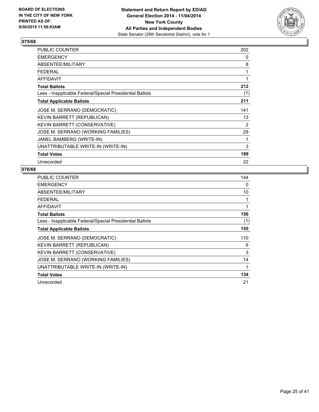

| <b>PUBLIC COUNTER</b>                                    | 202 |
|----------------------------------------------------------|-----|
| <b>EMERGENCY</b>                                         | 0   |
| ABSENTEE/MILITARY                                        | 8   |
| <b>FEDERAL</b>                                           | 1   |
| <b>AFFIDAVIT</b>                                         | 1   |
| <b>Total Ballots</b>                                     | 212 |
| Less - Inapplicable Federal/Special Presidential Ballots | (1) |
| <b>Total Applicable Ballots</b>                          | 211 |
| JOSE M. SERRANO (DEMOCRATIC)                             | 141 |
| KEVIN BARRETT (REPUBLICAN)                               | 13  |
| <b>KEVIN BARRETT (CONSERVATIVE)</b>                      | 2   |
| JOSE M. SERRANO (WORKING FAMILIES)                       | 29  |
| JANEL BAMBERG (WRITE-IN)                                 | 1   |
| UNATTRIBUTABLE WRITE-IN (WRITE-IN)                       | 3   |
| <b>Total Votes</b>                                       | 189 |
| Unrecorded                                               | 22  |

| <b>PUBLIC COUNTER</b>                                    | 144 |
|----------------------------------------------------------|-----|
| <b>EMERGENCY</b>                                         | 0   |
| ABSENTEE/MILITARY                                        | 10  |
| <b>FEDERAL</b>                                           | 1   |
| <b>AFFIDAVIT</b>                                         | 1   |
| <b>Total Ballots</b>                                     | 156 |
| Less - Inapplicable Federal/Special Presidential Ballots | (1) |
| <b>Total Applicable Ballots</b>                          | 155 |
| JOSE M. SERRANO (DEMOCRATIC)                             | 110 |
| KEVIN BARRETT (REPUBLICAN)                               | 6   |
| KEVIN BARRETT (CONSERVATIVE)                             | 3   |
| JOSE M. SERRANO (WORKING FAMILIES)                       | 14  |
| UNATTRIBUTABLE WRITE-IN (WRITE-IN)                       | 1   |
| <b>Total Votes</b>                                       | 134 |
| Unrecorded                                               | 21  |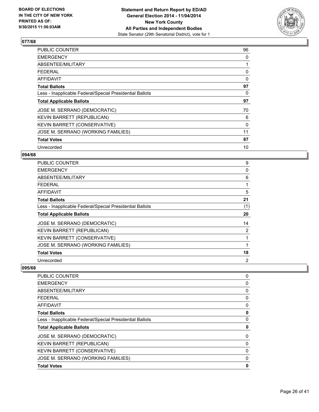

| <b>PUBLIC COUNTER</b>                                    | 96       |
|----------------------------------------------------------|----------|
| <b>EMERGENCY</b>                                         | 0        |
| ABSENTEE/MILITARY                                        |          |
| <b>FEDERAL</b>                                           | 0        |
| <b>AFFIDAVIT</b>                                         | $\Omega$ |
| <b>Total Ballots</b>                                     | 97       |
| Less - Inapplicable Federal/Special Presidential Ballots | 0        |
| <b>Total Applicable Ballots</b>                          | 97       |
| JOSE M. SERRANO (DEMOCRATIC)                             | 70       |
| <b>KEVIN BARRETT (REPUBLICAN)</b>                        | 6        |
| <b>KEVIN BARRETT (CONSERVATIVE)</b>                      | 0        |
| JOSE M. SERRANO (WORKING FAMILIES)                       | 11       |
| <b>Total Votes</b>                                       | 87       |
| Unrecorded                                               | 10       |

## **094/68**

| PUBLIC COUNTER                                           | 9   |
|----------------------------------------------------------|-----|
| <b>EMERGENCY</b>                                         | 0   |
| ABSENTEE/MILITARY                                        | 6   |
| <b>FEDERAL</b>                                           | 1   |
| <b>AFFIDAVIT</b>                                         | 5   |
| <b>Total Ballots</b>                                     | 21  |
| Less - Inapplicable Federal/Special Presidential Ballots | (1) |
| <b>Total Applicable Ballots</b>                          | 20  |
| JOSE M. SERRANO (DEMOCRATIC)                             | 14  |
| KEVIN BARRETT (REPUBLICAN)                               | 2   |
| KEVIN BARRETT (CONSERVATIVE)                             | 1   |
| JOSE M. SERRANO (WORKING FAMILIES)                       | 1   |
| <b>Total Votes</b>                                       | 18  |
| Unrecorded                                               | 2   |

| PUBLIC COUNTER                                           | 0 |
|----------------------------------------------------------|---|
| <b>EMERGENCY</b>                                         | 0 |
| ABSENTEE/MILITARY                                        | 0 |
| <b>FEDERAL</b>                                           | 0 |
| AFFIDAVIT                                                | 0 |
| <b>Total Ballots</b>                                     | 0 |
| Less - Inapplicable Federal/Special Presidential Ballots | 0 |
| <b>Total Applicable Ballots</b>                          | 0 |
| JOSE M. SERRANO (DEMOCRATIC)                             | 0 |
| KEVIN BARRETT (REPUBLICAN)                               | 0 |
| KEVIN BARRETT (CONSERVATIVE)                             | 0 |
| JOSE M. SERRANO (WORKING FAMILIES)                       | 0 |
| <b>Total Votes</b>                                       | 0 |
|                                                          |   |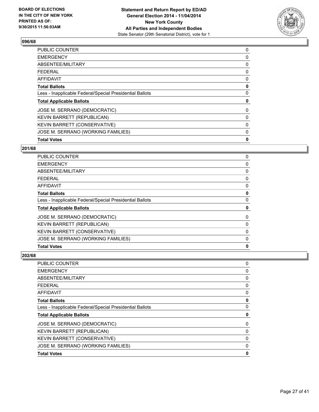

| <b>PUBLIC COUNTER</b>                                    | 0 |
|----------------------------------------------------------|---|
| <b>EMERGENCY</b>                                         | 0 |
| ABSENTEE/MILITARY                                        | 0 |
| <b>FEDERAL</b>                                           | 0 |
| AFFIDAVIT                                                | 0 |
| <b>Total Ballots</b>                                     | 0 |
| Less - Inapplicable Federal/Special Presidential Ballots | 0 |
| <b>Total Applicable Ballots</b>                          | 0 |
| JOSE M. SERRANO (DEMOCRATIC)                             | 0 |
| <b>KEVIN BARRETT (REPUBLICAN)</b>                        | 0 |
| KEVIN BARRETT (CONSERVATIVE)                             | 0 |
| JOSE M. SERRANO (WORKING FAMILIES)                       | 0 |
| <b>Total Votes</b>                                       | 0 |
|                                                          |   |

## **201/68**

| <b>PUBLIC COUNTER</b>                                    | 0 |
|----------------------------------------------------------|---|
| <b>EMERGENCY</b>                                         | 0 |
| ABSENTEE/MILITARY                                        | 0 |
| <b>FEDERAL</b>                                           | 0 |
| <b>AFFIDAVIT</b>                                         | 0 |
| <b>Total Ballots</b>                                     | 0 |
| Less - Inapplicable Federal/Special Presidential Ballots | 0 |
| <b>Total Applicable Ballots</b>                          | 0 |
| JOSE M. SERRANO (DEMOCRATIC)                             | 0 |
| <b>KEVIN BARRETT (REPUBLICAN)</b>                        | 0 |
| KEVIN BARRETT (CONSERVATIVE)                             | 0 |
| JOSE M. SERRANO (WORKING FAMILIES)                       | 0 |
| <b>Total Votes</b>                                       | 0 |

| PUBLIC COUNTER                                           | 0           |
|----------------------------------------------------------|-------------|
|                                                          |             |
| EMERGENCY                                                | 0           |
| ABSENTEE/MILITARY                                        | 0           |
| FEDERAL                                                  | 0           |
| AFFIDAVIT                                                | 0           |
| Total Ballots                                            | $\mathbf 0$ |
| Less - Inapplicable Federal/Special Presidential Ballots | $\mathbf 0$ |
| <b>Total Applicable Ballots</b>                          | 0           |
| JOSE M. SERRANO (DEMOCRATIC)                             | 0           |
| KEVIN BARRETT (REPUBLICAN)                               | 0           |
| KEVIN BARRETT (CONSERVATIVE)                             | 0           |
| JOSE M. SERRANO (WORKING FAMILIES)                       | 0           |
| <b>Total Votes</b>                                       | 0           |
|                                                          |             |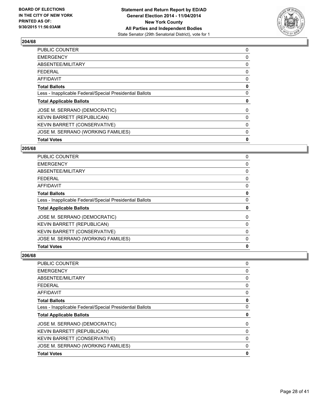

| <b>PUBLIC COUNTER</b>                                    | 0 |
|----------------------------------------------------------|---|
| <b>EMERGENCY</b>                                         | 0 |
| ABSENTEE/MILITARY                                        | 0 |
| <b>FEDERAL</b>                                           | 0 |
| AFFIDAVIT                                                | 0 |
| <b>Total Ballots</b>                                     | 0 |
| Less - Inapplicable Federal/Special Presidential Ballots | 0 |
| <b>Total Applicable Ballots</b>                          | 0 |
| JOSE M. SERRANO (DEMOCRATIC)                             | 0 |
| <b>KEVIN BARRETT (REPUBLICAN)</b>                        | 0 |
| KEVIN BARRETT (CONSERVATIVE)                             | 0 |
| JOSE M. SERRANO (WORKING FAMILIES)                       | 0 |
| <b>Total Votes</b>                                       | 0 |
|                                                          |   |

#### **205/68**

| <b>PUBLIC COUNTER</b>                                    | 0 |
|----------------------------------------------------------|---|
| <b>EMERGENCY</b>                                         | 0 |
| ABSENTEE/MILITARY                                        | 0 |
| <b>FEDERAL</b>                                           | 0 |
| <b>AFFIDAVIT</b>                                         | 0 |
| <b>Total Ballots</b>                                     | 0 |
| Less - Inapplicable Federal/Special Presidential Ballots | 0 |
| <b>Total Applicable Ballots</b>                          | 0 |
| JOSE M. SERRANO (DEMOCRATIC)                             | 0 |
| <b>KEVIN BARRETT (REPUBLICAN)</b>                        | 0 |
| KEVIN BARRETT (CONSERVATIVE)                             | 0 |
| JOSE M. SERRANO (WORKING FAMILIES)                       | 0 |
| <b>Total Votes</b>                                       | 0 |

| <b>Total Votes</b>                                       | 0 |
|----------------------------------------------------------|---|
| JOSE M. SERRANO (WORKING FAMILIES)                       | 0 |
| KEVIN BARRETT (CONSERVATIVE)                             | 0 |
| KEVIN BARRETT (REPUBLICAN)                               | 0 |
| JOSE M. SERRANO (DEMOCRATIC)                             | 0 |
| <b>Total Applicable Ballots</b>                          | 0 |
| Less - Inapplicable Federal/Special Presidential Ballots | 0 |
| <b>Total Ballots</b>                                     | 0 |
| AFFIDAVIT                                                | 0 |
| FEDERAL                                                  | 0 |
| ABSENTEE/MILITARY                                        | 0 |
| EMERGENCY                                                | 0 |
| PUBLIC COUNTER                                           | 0 |
|                                                          |   |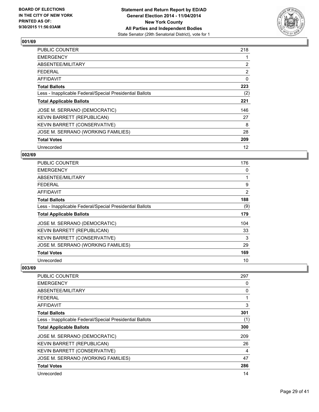

| <b>PUBLIC COUNTER</b>                                    | 218            |
|----------------------------------------------------------|----------------|
| <b>EMERGENCY</b>                                         |                |
| ABSENTEE/MILITARY                                        | $\overline{2}$ |
| <b>FEDERAL</b>                                           | $\overline{2}$ |
| <b>AFFIDAVIT</b>                                         | 0              |
| <b>Total Ballots</b>                                     | 223            |
| Less - Inapplicable Federal/Special Presidential Ballots | (2)            |
| <b>Total Applicable Ballots</b>                          | 221            |
| JOSE M. SERRANO (DEMOCRATIC)                             | 146            |
| <b>KEVIN BARRETT (REPUBLICAN)</b>                        | 27             |
| KEVIN BARRETT (CONSERVATIVE)                             | 8              |
| JOSE M. SERRANO (WORKING FAMILIES)                       | 28             |
| <b>Total Votes</b>                                       | 209            |
| Unrecorded                                               | 12             |

## **002/69**

| <b>PUBLIC COUNTER</b>                                    | 176 |
|----------------------------------------------------------|-----|
| <b>EMERGENCY</b>                                         | 0   |
| ABSENTEE/MILITARY                                        |     |
| <b>FEDERAL</b>                                           | 9   |
| AFFIDAVIT                                                | 2   |
| <b>Total Ballots</b>                                     | 188 |
| Less - Inapplicable Federal/Special Presidential Ballots | (9) |
| <b>Total Applicable Ballots</b>                          | 179 |
| JOSE M. SERRANO (DEMOCRATIC)                             | 104 |
| <b>KEVIN BARRETT (REPUBLICAN)</b>                        | 33  |
| <b>KEVIN BARRETT (CONSERVATIVE)</b>                      | 3   |
| JOSE M. SERRANO (WORKING FAMILIES)                       | 29  |
| <b>Total Votes</b>                                       | 169 |
| Unrecorded                                               | 10  |

| PUBLIC COUNTER                                           | 297 |
|----------------------------------------------------------|-----|
| <b>EMERGENCY</b>                                         | 0   |
| ABSENTEE/MILITARY                                        | 0   |
| <b>FEDERAL</b>                                           |     |
| AFFIDAVIT                                                | 3   |
| <b>Total Ballots</b>                                     | 301 |
| Less - Inapplicable Federal/Special Presidential Ballots | (1) |
| <b>Total Applicable Ballots</b>                          | 300 |
| JOSE M. SERRANO (DEMOCRATIC)                             | 209 |
| KEVIN BARRETT (REPUBLICAN)                               | 26  |
| KEVIN BARRETT (CONSERVATIVE)                             | 4   |
| JOSE M. SERRANO (WORKING FAMILIES)                       | 47  |
| <b>Total Votes</b>                                       | 286 |
| Unrecorded                                               | 14  |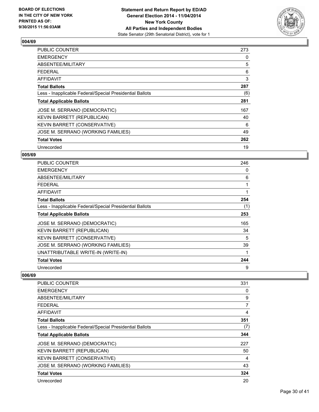

| <b>PUBLIC COUNTER</b>                                    | 273 |
|----------------------------------------------------------|-----|
| <b>EMERGENCY</b>                                         | 0   |
| ABSENTEE/MILITARY                                        | 5   |
| <b>FEDERAL</b>                                           | 6   |
| <b>AFFIDAVIT</b>                                         | 3   |
| <b>Total Ballots</b>                                     | 287 |
| Less - Inapplicable Federal/Special Presidential Ballots | (6) |
| <b>Total Applicable Ballots</b>                          | 281 |
| JOSE M. SERRANO (DEMOCRATIC)                             | 167 |
| <b>KEVIN BARRETT (REPUBLICAN)</b>                        | 40  |
| <b>KEVIN BARRETT (CONSERVATIVE)</b>                      | 6   |
| JOSE M. SERRANO (WORKING FAMILIES)                       | 49  |
| <b>Total Votes</b>                                       | 262 |
| Unrecorded                                               | 19  |

## **005/69**

| <b>PUBLIC COUNTER</b>                                    | 246 |
|----------------------------------------------------------|-----|
| <b>EMERGENCY</b>                                         | 0   |
| ABSENTEE/MILITARY                                        | 6   |
| <b>FEDERAL</b>                                           | 1   |
| <b>AFFIDAVIT</b>                                         | 1   |
| <b>Total Ballots</b>                                     | 254 |
| Less - Inapplicable Federal/Special Presidential Ballots | (1) |
| <b>Total Applicable Ballots</b>                          | 253 |
| JOSE M. SERRANO (DEMOCRATIC)                             | 165 |
| KEVIN BARRETT (REPUBLICAN)                               | 34  |
| KEVIN BARRETT (CONSERVATIVE)                             | 5   |
| JOSE M. SERRANO (WORKING FAMILIES)                       | 39  |
| UNATTRIBUTABLE WRITE-IN (WRITE-IN)                       | 1   |
| <b>Total Votes</b>                                       | 244 |
| Unrecorded                                               | 9   |

| <b>PUBLIC COUNTER</b>                                    | 331 |
|----------------------------------------------------------|-----|
| <b>EMERGENCY</b>                                         | 0   |
| ABSENTEE/MILITARY                                        | 9   |
| <b>FEDERAL</b>                                           | 7   |
| AFFIDAVIT                                                | 4   |
| <b>Total Ballots</b>                                     | 351 |
| Less - Inapplicable Federal/Special Presidential Ballots | (7) |
| <b>Total Applicable Ballots</b>                          | 344 |
| JOSE M. SERRANO (DEMOCRATIC)                             | 227 |
| KEVIN BARRETT (REPUBLICAN)                               | 50  |
| KEVIN BARRETT (CONSERVATIVE)                             | 4   |
| JOSE M. SERRANO (WORKING FAMILIES)                       | 43  |
| <b>Total Votes</b>                                       | 324 |
| Unrecorded                                               | 20  |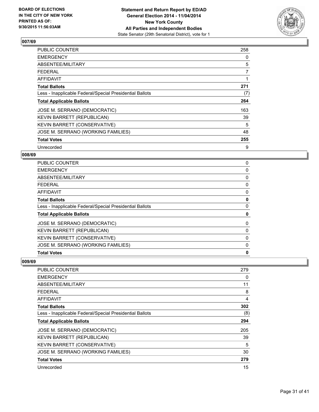

| <b>PUBLIC COUNTER</b>                                    | 258 |
|----------------------------------------------------------|-----|
| <b>EMERGENCY</b>                                         | 0   |
| ABSENTEE/MILITARY                                        | 5   |
| <b>FEDERAL</b>                                           | 7   |
| <b>AFFIDAVIT</b>                                         |     |
| <b>Total Ballots</b>                                     | 271 |
| Less - Inapplicable Federal/Special Presidential Ballots | (7) |
| <b>Total Applicable Ballots</b>                          | 264 |
| JOSE M. SERRANO (DEMOCRATIC)                             | 163 |
| <b>KEVIN BARRETT (REPUBLICAN)</b>                        | 39  |
| <b>KEVIN BARRETT (CONSERVATIVE)</b>                      | 5   |
| JOSE M. SERRANO (WORKING FAMILIES)                       | 48  |
| <b>Total Votes</b>                                       | 255 |
| Unrecorded                                               | 9   |

## **008/69**

| PUBLIC COUNTER                                           | 0 |
|----------------------------------------------------------|---|
| <b>EMERGENCY</b>                                         | 0 |
| ABSENTEE/MILITARY                                        | 0 |
| <b>FEDERAL</b>                                           | 0 |
| <b>AFFIDAVIT</b>                                         | 0 |
| <b>Total Ballots</b>                                     | 0 |
| Less - Inapplicable Federal/Special Presidential Ballots | 0 |
| <b>Total Applicable Ballots</b>                          | 0 |
| JOSE M. SERRANO (DEMOCRATIC)                             | 0 |
| <b>KEVIN BARRETT (REPUBLICAN)</b>                        | 0 |
| KEVIN BARRETT (CONSERVATIVE)                             | 0 |
| JOSE M. SERRANO (WORKING FAMILIES)                       | 0 |
| <b>Total Votes</b>                                       | 0 |

| <b>PUBLIC COUNTER</b>                                    | 279 |
|----------------------------------------------------------|-----|
| <b>EMERGENCY</b>                                         | 0   |
| ABSENTEE/MILITARY                                        | 11  |
| <b>FEDERAL</b>                                           | 8   |
| <b>AFFIDAVIT</b>                                         | 4   |
| <b>Total Ballots</b>                                     | 302 |
| Less - Inapplicable Federal/Special Presidential Ballots | (8) |
| <b>Total Applicable Ballots</b>                          | 294 |
| JOSE M. SERRANO (DEMOCRATIC)                             | 205 |
| KEVIN BARRETT (REPUBLICAN)                               | 39  |
| KEVIN BARRETT (CONSERVATIVE)                             | 5   |
| JOSE M. SERRANO (WORKING FAMILIES)                       | 30  |
| <b>Total Votes</b>                                       | 279 |
| Unrecorded                                               | 15  |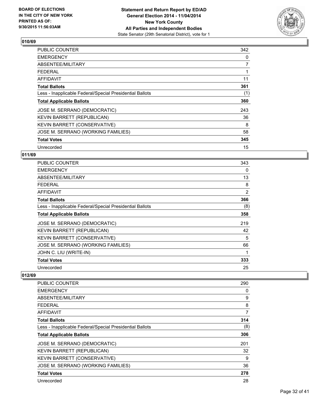

| <b>PUBLIC COUNTER</b>                                    | 342            |
|----------------------------------------------------------|----------------|
| <b>EMERGENCY</b>                                         | 0              |
| ABSENTEE/MILITARY                                        | $\overline{7}$ |
| <b>FEDERAL</b>                                           |                |
| <b>AFFIDAVIT</b>                                         | 11             |
| <b>Total Ballots</b>                                     | 361            |
| Less - Inapplicable Federal/Special Presidential Ballots | (1)            |
| <b>Total Applicable Ballots</b>                          | 360            |
| JOSE M. SERRANO (DEMOCRATIC)                             | 243            |
| <b>KEVIN BARRETT (REPUBLICAN)</b>                        | 36             |
| <b>KEVIN BARRETT (CONSERVATIVE)</b>                      | 8              |
| JOSE M. SERRANO (WORKING FAMILIES)                       | 58             |
| <b>Total Votes</b>                                       | 345            |
| Unrecorded                                               | 15             |

## **011/69**

| <b>PUBLIC COUNTER</b>                                    | 343            |
|----------------------------------------------------------|----------------|
| <b>EMERGENCY</b>                                         | 0              |
| ABSENTEE/MILITARY                                        | 13             |
| <b>FEDERAL</b>                                           | 8              |
| <b>AFFIDAVIT</b>                                         | $\overline{2}$ |
| <b>Total Ballots</b>                                     | 366            |
| Less - Inapplicable Federal/Special Presidential Ballots | (8)            |
| <b>Total Applicable Ballots</b>                          | 358            |
| JOSE M. SERRANO (DEMOCRATIC)                             | 219            |
| KEVIN BARRETT (REPUBLICAN)                               | 42             |
| KEVIN BARRETT (CONSERVATIVE)                             | 5              |
| JOSE M. SERRANO (WORKING FAMILIES)                       | 66             |
| JOHN C. LIU (WRITE-IN)                                   | 1              |
| <b>Total Votes</b>                                       | 333            |
| Unrecorded                                               | 25             |

| PUBLIC COUNTER                                           | 290 |
|----------------------------------------------------------|-----|
| <b>EMERGENCY</b>                                         | 0   |
| ABSENTEE/MILITARY                                        | 9   |
| <b>FEDERAL</b>                                           | 8   |
| AFFIDAVIT                                                | 7   |
| <b>Total Ballots</b>                                     | 314 |
| Less - Inapplicable Federal/Special Presidential Ballots | (8) |
| <b>Total Applicable Ballots</b>                          | 306 |
| JOSE M. SERRANO (DEMOCRATIC)                             | 201 |
| <b>KEVIN BARRETT (REPUBLICAN)</b>                        | 32  |
| KEVIN BARRETT (CONSERVATIVE)                             | 9   |
| JOSE M. SERRANO (WORKING FAMILIES)                       | 36  |
| <b>Total Votes</b>                                       | 278 |
|                                                          |     |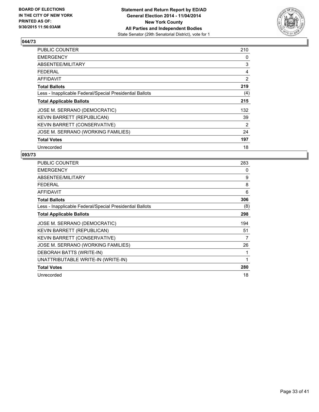

| PUBLIC COUNTER                                           | 210            |
|----------------------------------------------------------|----------------|
| <b>EMERGENCY</b>                                         | 0              |
| ABSENTEE/MILITARY                                        | 3              |
| <b>FEDERAL</b>                                           | 4              |
| <b>AFFIDAVIT</b>                                         | $\overline{2}$ |
| <b>Total Ballots</b>                                     | 219            |
| Less - Inapplicable Federal/Special Presidential Ballots | (4)            |
| <b>Total Applicable Ballots</b>                          | 215            |
| JOSE M. SERRANO (DEMOCRATIC)                             | 132            |
| KEVIN BARRETT (REPUBLICAN)                               | 39             |
| KEVIN BARRETT (CONSERVATIVE)                             | 2              |
| JOSE M. SERRANO (WORKING FAMILIES)                       | 24             |
| <b>Total Votes</b>                                       | 197            |
| Unrecorded                                               | 18             |

| PUBLIC COUNTER                                           | 283 |
|----------------------------------------------------------|-----|
| <b>EMERGENCY</b>                                         | 0   |
| ABSENTEE/MILITARY                                        | 9   |
| <b>FEDERAL</b>                                           | 8   |
| <b>AFFIDAVIT</b>                                         | 6   |
| <b>Total Ballots</b>                                     | 306 |
| Less - Inapplicable Federal/Special Presidential Ballots | (8) |
| <b>Total Applicable Ballots</b>                          | 298 |
| JOSE M. SERRANO (DEMOCRATIC)                             | 194 |
| <b>KEVIN BARRETT (REPUBLICAN)</b>                        | 51  |
| <b>KEVIN BARRETT (CONSERVATIVE)</b>                      | 7   |
| JOSE M. SERRANO (WORKING FAMILIES)                       | 26  |
| DEBORAH BATTS (WRITE-IN)                                 |     |
| UNATTRIBUTABLE WRITE-IN (WRITE-IN)                       | 1   |
| <b>Total Votes</b>                                       | 280 |
| Unrecorded                                               | 18  |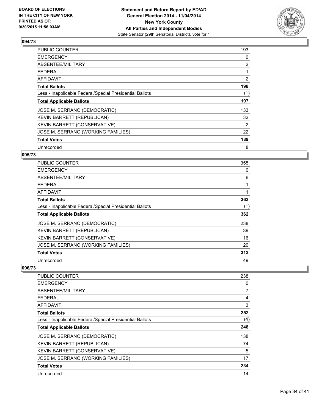

| PUBLIC COUNTER                                           | 193            |
|----------------------------------------------------------|----------------|
| <b>EMERGENCY</b>                                         | 0              |
| ABSENTEE/MILITARY                                        | $\overline{2}$ |
| <b>FEDERAL</b>                                           |                |
| <b>AFFIDAVIT</b>                                         | 2              |
| <b>Total Ballots</b>                                     | 198            |
| Less - Inapplicable Federal/Special Presidential Ballots | (1)            |
| <b>Total Applicable Ballots</b>                          | 197            |
| JOSE M. SERRANO (DEMOCRATIC)                             | 133            |
| <b>KEVIN BARRETT (REPUBLICAN)</b>                        | 32             |
| <b>KEVIN BARRETT (CONSERVATIVE)</b>                      | 2              |
| JOSE M. SERRANO (WORKING FAMILIES)                       | 22             |
| <b>Total Votes</b>                                       | 189            |
| Unrecorded                                               | 8              |

## **095/73**

| <b>PUBLIC COUNTER</b>                                    | 355 |
|----------------------------------------------------------|-----|
| <b>EMERGENCY</b>                                         | 0   |
| ABSENTEE/MILITARY                                        | 6   |
| <b>FEDERAL</b>                                           |     |
| AFFIDAVIT                                                |     |
| <b>Total Ballots</b>                                     | 363 |
| Less - Inapplicable Federal/Special Presidential Ballots | (1) |
| <b>Total Applicable Ballots</b>                          | 362 |
| JOSE M. SERRANO (DEMOCRATIC)                             | 238 |
| KEVIN BARRETT (REPUBLICAN)                               | 39  |
| KEVIN BARRETT (CONSERVATIVE)                             | 16  |
| JOSE M. SERRANO (WORKING FAMILIES)                       | 20  |
| <b>Total Votes</b>                                       | 313 |
| Unrecorded                                               | 49  |

| PUBLIC COUNTER                                           | 238            |
|----------------------------------------------------------|----------------|
| <b>EMERGENCY</b>                                         | 0              |
| ABSENTEE/MILITARY                                        | $\overline{7}$ |
| <b>FEDERAL</b>                                           | 4              |
| AFFIDAVIT                                                | 3              |
| Total Ballots                                            | 252            |
| Less - Inapplicable Federal/Special Presidential Ballots | (4)            |
| <b>Total Applicable Ballots</b>                          | 248            |
| JOSE M. SERRANO (DEMOCRATIC)                             | 138            |
| KEVIN BARRETT (REPUBLICAN)                               | 74             |
| KEVIN BARRETT (CONSERVATIVE)                             | 5              |
| JOSE M. SERRANO (WORKING FAMILIES)                       | 17             |
| <b>Total Votes</b>                                       | 234            |
| Unrecorded                                               | 14             |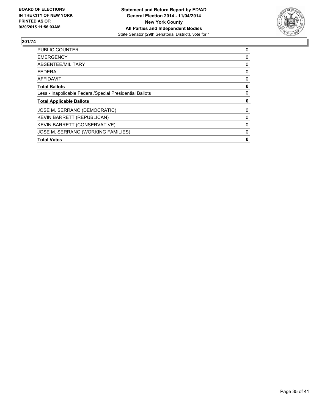

| <b>Total Votes</b>                                       | 0 |
|----------------------------------------------------------|---|
| JOSE M. SERRANO (WORKING FAMILIES)                       | 0 |
| KEVIN BARRETT (CONSERVATIVE)                             | 0 |
| <b>KEVIN BARRETT (REPUBLICAN)</b>                        | 0 |
| JOSE M. SERRANO (DEMOCRATIC)                             | 0 |
| <b>Total Applicable Ballots</b>                          | 0 |
| Less - Inapplicable Federal/Special Presidential Ballots | 0 |
| <b>Total Ballots</b>                                     | 0 |
| <b>AFFIDAVIT</b>                                         | 0 |
| <b>FEDERAL</b>                                           | 0 |
| ABSENTEE/MILITARY                                        | 0 |
| <b>EMERGENCY</b>                                         | 0 |
| <b>PUBLIC COUNTER</b>                                    | 0 |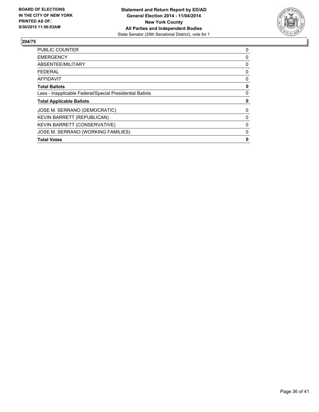

| <b>Total Votes</b>                                       | 0 |
|----------------------------------------------------------|---|
| JOSE M. SERRANO (WORKING FAMILIES)                       | 0 |
| <b>KEVIN BARRETT (CONSERVATIVE)</b>                      | 0 |
| KEVIN BARRETT (REPUBLICAN)                               | 0 |
| JOSE M. SERRANO (DEMOCRATIC)                             | 0 |
| <b>Total Applicable Ballots</b>                          | 0 |
| Less - Inapplicable Federal/Special Presidential Ballots | 0 |
| <b>Total Ballots</b>                                     | 0 |
| <b>AFFIDAVIT</b>                                         | 0 |
| <b>FEDERAL</b>                                           | 0 |
| ABSENTEE/MILITARY                                        | 0 |
| <b>EMERGENCY</b>                                         | 0 |
| <b>PUBLIC COUNTER</b>                                    | 0 |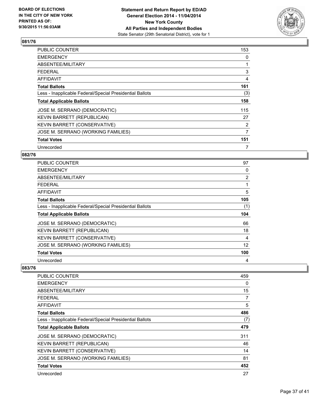

| PUBLIC COUNTER                                           | 153            |
|----------------------------------------------------------|----------------|
| <b>EMERGENCY</b>                                         | 0              |
| ABSENTEE/MILITARY                                        |                |
| FEDERAL                                                  | 3              |
| <b>AFFIDAVIT</b>                                         | 4              |
| <b>Total Ballots</b>                                     | 161            |
| Less - Inapplicable Federal/Special Presidential Ballots | (3)            |
| <b>Total Applicable Ballots</b>                          | 158            |
| JOSE M. SERRANO (DEMOCRATIC)                             | 115            |
| <b>KEVIN BARRETT (REPUBLICAN)</b>                        | 27             |
| KEVIN BARRETT (CONSERVATIVE)                             | $\overline{2}$ |
| JOSE M. SERRANO (WORKING FAMILIES)                       | 7              |
| <b>Total Votes</b>                                       | 151            |
| Unrecorded                                               | 7              |

## **082/76**

| <b>PUBLIC COUNTER</b>                                    | 97             |
|----------------------------------------------------------|----------------|
| <b>EMERGENCY</b>                                         | 0              |
| ABSENTEE/MILITARY                                        | $\overline{2}$ |
| FEDERAL                                                  | 1              |
| AFFIDAVIT                                                | 5              |
| <b>Total Ballots</b>                                     | 105            |
| Less - Inapplicable Federal/Special Presidential Ballots | (1)            |
| <b>Total Applicable Ballots</b>                          | 104            |
| JOSE M. SERRANO (DEMOCRATIC)                             | 66             |
| KEVIN BARRETT (REPUBLICAN)                               | 18             |
| KEVIN BARRETT (CONSERVATIVE)                             | 4              |
| JOSE M. SERRANO (WORKING FAMILIES)                       | 12             |
| <b>Total Votes</b>                                       | 100            |
| Unrecorded                                               |                |

| PUBLIC COUNTER                                           | 459 |
|----------------------------------------------------------|-----|
| <b>EMERGENCY</b>                                         | 0   |
| ABSENTEE/MILITARY                                        | 15  |
| <b>FEDERAL</b>                                           | 7   |
| AFFIDAVIT                                                | 5   |
| Total Ballots                                            | 486 |
| Less - Inapplicable Federal/Special Presidential Ballots | (7) |
| <b>Total Applicable Ballots</b>                          | 479 |
| JOSE M. SERRANO (DEMOCRATIC)                             | 311 |
| KEVIN BARRETT (REPUBLICAN)                               | 46  |
| KEVIN BARRETT (CONSERVATIVE)                             | 14  |
| JOSE M. SERRANO (WORKING FAMILIES)                       | 81  |
| <b>Total Votes</b>                                       | 452 |
| Unrecorded                                               | 27  |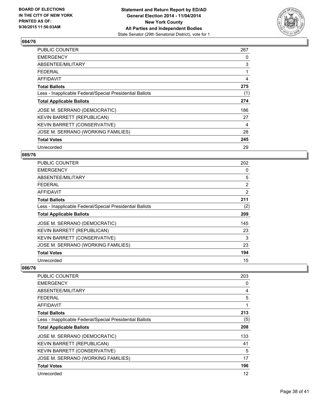

| PUBLIC COUNTER                                           | 267 |
|----------------------------------------------------------|-----|
| <b>EMERGENCY</b>                                         | 0   |
| ABSENTEE/MILITARY                                        | 3   |
| <b>FEDERAL</b>                                           |     |
| <b>AFFIDAVIT</b>                                         | 4   |
| <b>Total Ballots</b>                                     | 275 |
| Less - Inapplicable Federal/Special Presidential Ballots | (1) |
| <b>Total Applicable Ballots</b>                          | 274 |
| JOSE M. SERRANO (DEMOCRATIC)                             | 186 |
| <b>KEVIN BARRETT (REPUBLICAN)</b>                        | 27  |
| KEVIN BARRETT (CONSERVATIVE)                             | 4   |
| JOSE M. SERRANO (WORKING FAMILIES)                       | 28  |
| <b>Total Votes</b>                                       | 245 |
| Unrecorded                                               | 29  |

## **085/76**

| PUBLIC COUNTER                                           | 202            |
|----------------------------------------------------------|----------------|
| <b>EMERGENCY</b>                                         | 0              |
| ABSENTEE/MILITARY                                        | 5              |
| <b>FEDERAL</b>                                           | $\overline{2}$ |
| AFFIDAVIT                                                | 2              |
| <b>Total Ballots</b>                                     | 211            |
| Less - Inapplicable Federal/Special Presidential Ballots | (2)            |
| <b>Total Applicable Ballots</b>                          | 209            |
| JOSE M. SERRANO (DEMOCRATIC)                             | 145            |
| <b>KEVIN BARRETT (REPUBLICAN)</b>                        | 23             |
| <b>KEVIN BARRETT (CONSERVATIVE)</b>                      | 3              |
| JOSE M. SERRANO (WORKING FAMILIES)                       | 23             |
| <b>Total Votes</b>                                       | 194            |
| Unrecorded                                               | 15             |

| PUBLIC COUNTER                                           | 203 |
|----------------------------------------------------------|-----|
| <b>EMERGENCY</b>                                         | 0   |
| ABSENTEE/MILITARY                                        | 4   |
| <b>FEDERAL</b>                                           | 5   |
| AFFIDAVIT                                                | 1   |
| Total Ballots                                            | 213 |
| Less - Inapplicable Federal/Special Presidential Ballots | (5) |
| <b>Total Applicable Ballots</b>                          | 208 |
| JOSE M. SERRANO (DEMOCRATIC)                             | 133 |
| KEVIN BARRETT (REPUBLICAN)                               | 41  |
| KEVIN BARRETT (CONSERVATIVE)                             | 5   |
| JOSE M. SERRANO (WORKING FAMILIES)                       | 17  |
| <b>Total Votes</b>                                       | 196 |
| Unrecorded                                               | 12  |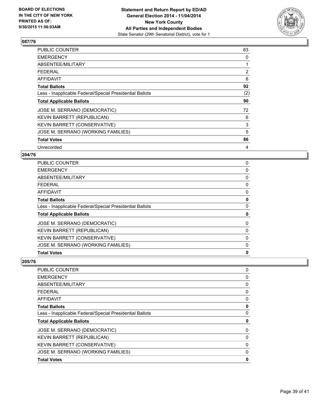

| PUBLIC COUNTER                                           | 83             |
|----------------------------------------------------------|----------------|
| <b>EMERGENCY</b>                                         | 0              |
| ABSENTEE/MILITARY                                        |                |
| FEDERAL                                                  | $\overline{2}$ |
| <b>AFFIDAVIT</b>                                         | 6              |
| <b>Total Ballots</b>                                     | 92             |
| Less - Inapplicable Federal/Special Presidential Ballots | (2)            |
| <b>Total Applicable Ballots</b>                          | 90             |
| JOSE M. SERRANO (DEMOCRATIC)                             | 72             |
| KEVIN BARRETT (REPUBLICAN)                               | 6              |
| KEVIN BARRETT (CONSERVATIVE)                             | 3              |
| JOSE M. SERRANO (WORKING FAMILIES)                       | 5              |
| <b>Total Votes</b>                                       | 86             |
| Unrecorded                                               | 4              |

## **204/76**

| <b>Total Votes</b>                                       | 0 |
|----------------------------------------------------------|---|
| JOSE M. SERRANO (WORKING FAMILIES)                       | 0 |
| KEVIN BARRETT (CONSERVATIVE)                             | 0 |
| KEVIN BARRETT (REPUBLICAN)                               | 0 |
| JOSE M. SERRANO (DEMOCRATIC)                             | 0 |
| <b>Total Applicable Ballots</b>                          | 0 |
| Less - Inapplicable Federal/Special Presidential Ballots | 0 |
| <b>Total Ballots</b>                                     | 0 |
| <b>AFFIDAVIT</b>                                         | 0 |
| <b>FEDERAL</b>                                           | 0 |
| ABSENTEE/MILITARY                                        | 0 |
| <b>EMERGENCY</b>                                         | 0 |
| PUBLIC COUNTER                                           | 0 |

| 0<br>0<br>0<br>0<br>0<br>0<br>0<br>0<br>0<br>0<br>0<br>0 | <b>PUBLIC COUNTER</b>                                    | 0 |
|----------------------------------------------------------|----------------------------------------------------------|---|
|                                                          | <b>EMERGENCY</b>                                         |   |
|                                                          | ABSENTEE/MILITARY                                        |   |
|                                                          | <b>FEDERAL</b>                                           |   |
|                                                          | <b>AFFIDAVIT</b>                                         |   |
|                                                          | <b>Total Ballots</b>                                     |   |
|                                                          | Less - Inapplicable Federal/Special Presidential Ballots |   |
|                                                          | <b>Total Applicable Ballots</b>                          |   |
|                                                          | JOSE M. SERRANO (DEMOCRATIC)                             |   |
|                                                          | KEVIN BARRETT (REPUBLICAN)                               |   |
|                                                          | KEVIN BARRETT (CONSERVATIVE)                             |   |
|                                                          | JOSE M. SERRANO (WORKING FAMILIES)                       |   |
|                                                          | <b>Total Votes</b>                                       |   |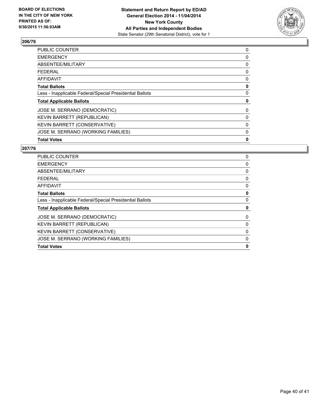

| <b>PUBLIC COUNTER</b>                                    | 0 |
|----------------------------------------------------------|---|
| <b>EMERGENCY</b>                                         | 0 |
| ABSENTEE/MILITARY                                        | 0 |
| <b>FEDERAL</b>                                           | 0 |
| AFFIDAVIT                                                | 0 |
| <b>Total Ballots</b>                                     | 0 |
| Less - Inapplicable Federal/Special Presidential Ballots | 0 |
| <b>Total Applicable Ballots</b>                          | 0 |
| JOSE M. SERRANO (DEMOCRATIC)                             | 0 |
| KEVIN BARRETT (REPUBLICAN)                               | 0 |
| <b>KEVIN BARRETT (CONSERVATIVE)</b>                      | 0 |
| JOSE M. SERRANO (WORKING FAMILIES)                       | 0 |
| <b>Total Votes</b>                                       | 0 |
|                                                          |   |

| PUBLIC COUNTER                                           | 0 |
|----------------------------------------------------------|---|
| <b>EMERGENCY</b>                                         | 0 |
| ABSENTEE/MILITARY                                        | 0 |
| <b>FEDERAL</b>                                           | 0 |
| AFFIDAVIT                                                | 0 |
| <b>Total Ballots</b>                                     | 0 |
| Less - Inapplicable Federal/Special Presidential Ballots | 0 |
| <b>Total Applicable Ballots</b>                          | 0 |
| JOSE M. SERRANO (DEMOCRATIC)                             | 0 |
| KEVIN BARRETT (REPUBLICAN)                               | 0 |
| KEVIN BARRETT (CONSERVATIVE)                             | 0 |
| JOSE M. SERRANO (WORKING FAMILIES)                       | 0 |
| <b>Total Votes</b>                                       | 0 |